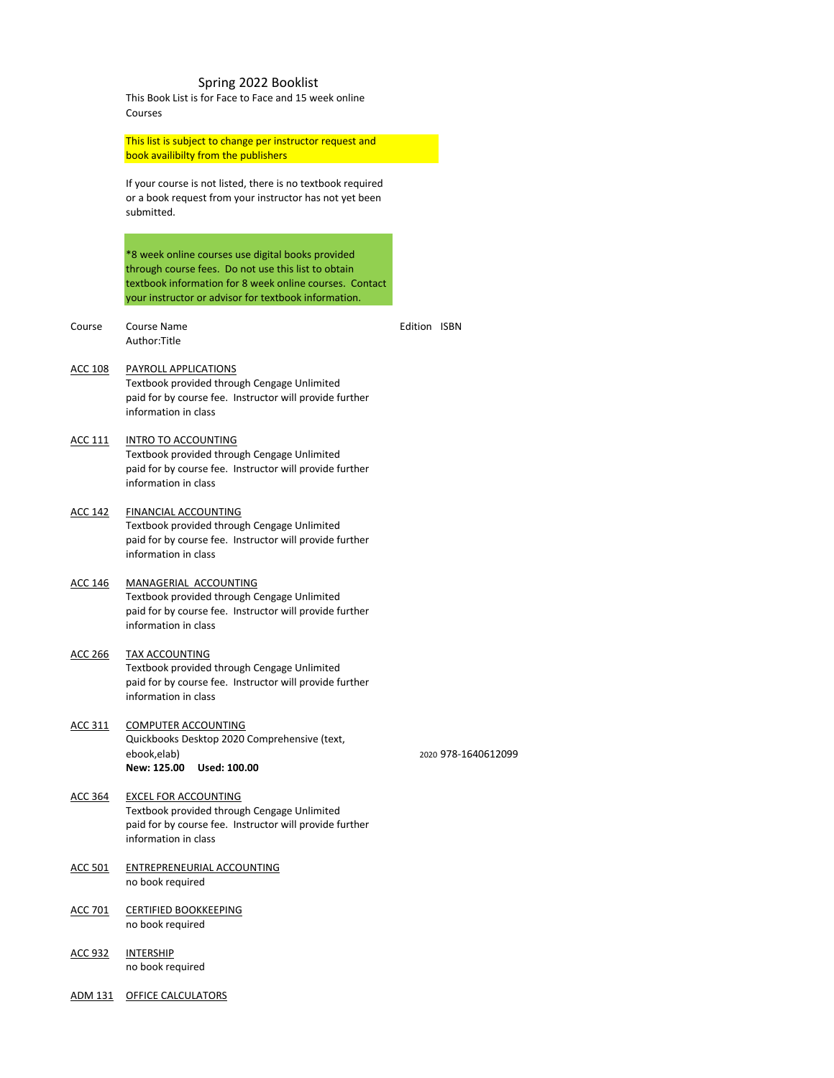# Spring 2022 Booklist

This Book List is for Face to Face and 15 week online Courses

This list is subject to change per instructor request and book availibilty from the publishers

If your course is not listed, there is no textbook required or a book request from your instructor has not yet been submitted.

Course Course Name **Course Name Course Name Edition ISBN** Author:Title

\*8 week online courses use digital books provided through course fees. Do not use this list to obtain textbook information for 8 week online courses. Contact your instructor or advisor for textbook information.

ACC 111 INTRO TO ACCOUNTING Textbook provided through Cengage Unlimited paid for by course fee. Instructor will provide further information in class

#### ACC 108 PAYROLL APPLICATIONS

Textbook provided through Cengage Unlimited paid for by course fee. Instructor will provide further information in class

## ACC 142 FINANCIAL ACCOUNTING Textbook provided through Cengage Unlimited paid for by course fee. Instructor will provide further information in class

#### ACC 146 MANAGERIAL ACCOUNTING

Textbook provided through Cengage Unlimited paid for by course fee. Instructor will provide further information in class

#### ACC 266 TAX ACCOUNTING

Textbook provided through Cengage Unlimited paid for by course fee. Instructor will provide further information in class

#### ACC 311 COMPUTER ACCOUNTING

Quickbooks Desktop 2020 Comprehensive (text,

ebook,elab) 2020 978-1640612099

**New: 125.00 Used: 100.00**

#### ACC 364 EXCEL FOR ACCOUNTING

Textbook provided through Cengage Unlimited paid for by course fee. Instructor will provide further information in class

- ACC 501 ENTREPRENEURIAL ACCOUNTING no book required
- ACC 701 CERTIFIED BOOKKEEPING no book required
- ACC 932 INTERSHIP no book required

ADM 131 OFFICE CALCULATORS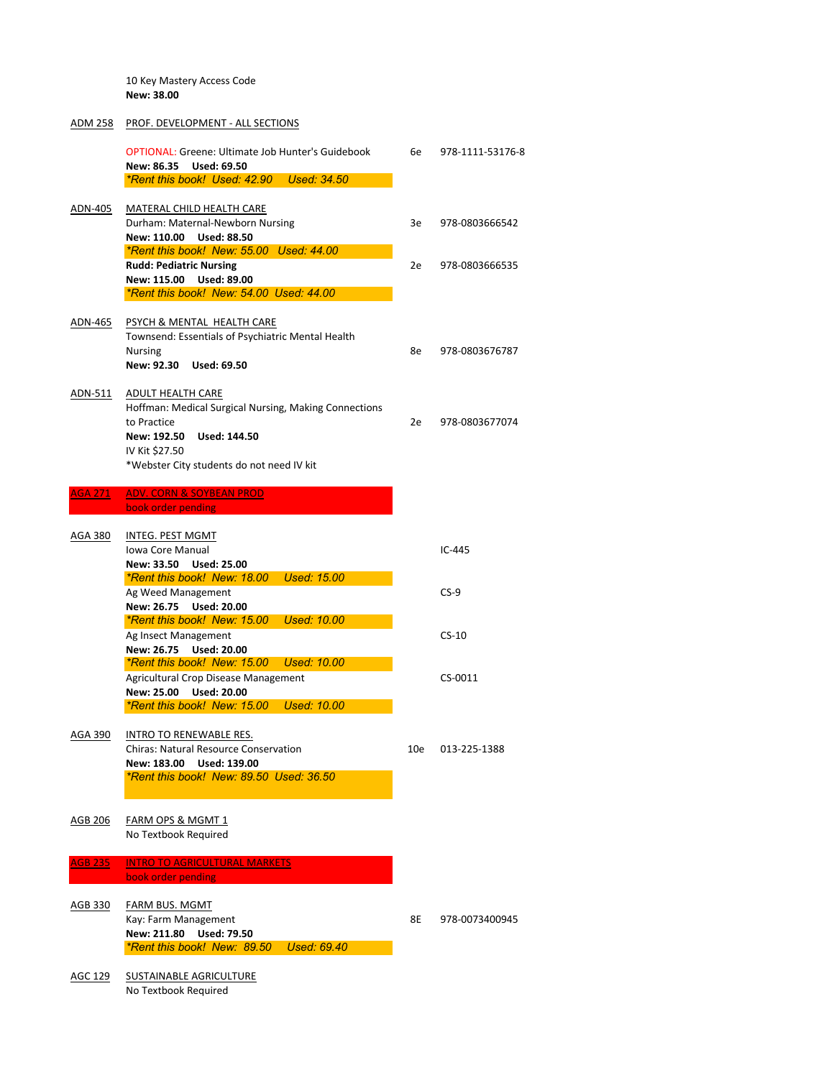10 Key Mastery Access Code **New: 38.00**

#### ADM 258 PROF. DEVELOPMENT - ALL SECTIONS

|                | <b>OPTIONAL: Greene: Ultimate Job Hunter's Guidebook</b><br><b>Used: 69.50</b><br>New: 86.35                                                                                                | 6e | 978-1111-53176-8 |
|----------------|---------------------------------------------------------------------------------------------------------------------------------------------------------------------------------------------|----|------------------|
|                | *Rent this book! Used: 42.90 Used: 34.50                                                                                                                                                    |    |                  |
| ADN-405        | MATERAL CHILD HEALTH CARE<br>Durham: Maternal-Newborn Nursing<br>New: 110.00<br><b>Used: 88.50</b>                                                                                          | 3e | 978-0803666542   |
|                | *Rent this book! New: 55.00 Used: 44.00<br><b>Rudd: Pediatric Nursing</b>                                                                                                                   | 2e | 978-0803666535   |
|                | New: 115.00<br><b>Used: 89.00</b><br>*Rent this book! New: 54.00 Used: 44.00                                                                                                                |    |                  |
| ADN-465        | PSYCH & MENTAL HEALTH CARE<br>Townsend: Essentials of Psychiatric Mental Health<br><b>Nursing</b><br>New: 92.30<br><b>Used: 69.50</b>                                                       | 8e | 978-0803676787   |
| ADN-511        | <b>ADULT HEALTH CARE</b><br>Hoffman: Medical Surgical Nursing, Making Connections<br>to Practice<br>New: 192.50 Used: 144.50<br>IV Kit \$27.50<br>*Webster City students do not need IV kit | 2e | 978-0803677074   |
| <b>AGA 271</b> | <b>ADV. CORN &amp; SOYBEAN PROD</b>                                                                                                                                                         |    |                  |
|                | book order pending                                                                                                                                                                          |    |                  |
| AGA 380        | <b>INTEG. PEST MGMT</b><br><b>Iowa Core Manual</b><br>New: 33.50<br><b>Used: 25.00</b>                                                                                                      |    | $IC-445$         |
|                | *Rent this book! New: 18.00<br><b>Used: 15.00</b><br>Ag Weed Management<br>New: 26.75 Used: 20.00                                                                                           |    | $CS-9$           |
|                | <i><b>*Rent this book! New: 15.00</b></i><br>Used: 10.00<br>Ag Insect Management<br>New: 26.75 Used: 20.00                                                                                  |    | $CS-10$          |
|                | *Rent this book! New: 15.00 Used: 10.00<br><b>Agricultural Crop Disease Management</b><br>New: 25.00 Used: 20.00<br>*Rent this book! New: 15.00 Used: 10.00                                 |    | CS-0011          |
|                |                                                                                                                                                                                             |    |                  |

# AGA 390 INTRO TO RENEWABLE RES.

Chiras: Natural Resource Conservation 10e 10e 013-225-1388

AGB 206 FARM OPS & MGMT 1 No Textbook Required

**AGB 235 INTRO TO AGRICULTURAL MARKETS** book order pending

AGC 129 SUSTAINABLE AGRICULTURE No Textbook Required

**New: 183.00 Used: 139.00**

*\*Rent this book! New: 89.50 Used: 36.50*

AGB 330 FARM BUS. MGMT

Kay: Farm Management 2008 2012 12:30 12:30 12:30 12:30 12:30 12:30 12:30 12:30 12:30 12:30 12:30 12:30 12:30 1

**New: 211.80 Used: 79.50**

*\*Rent this book! New: 89.50 Used: 69.40*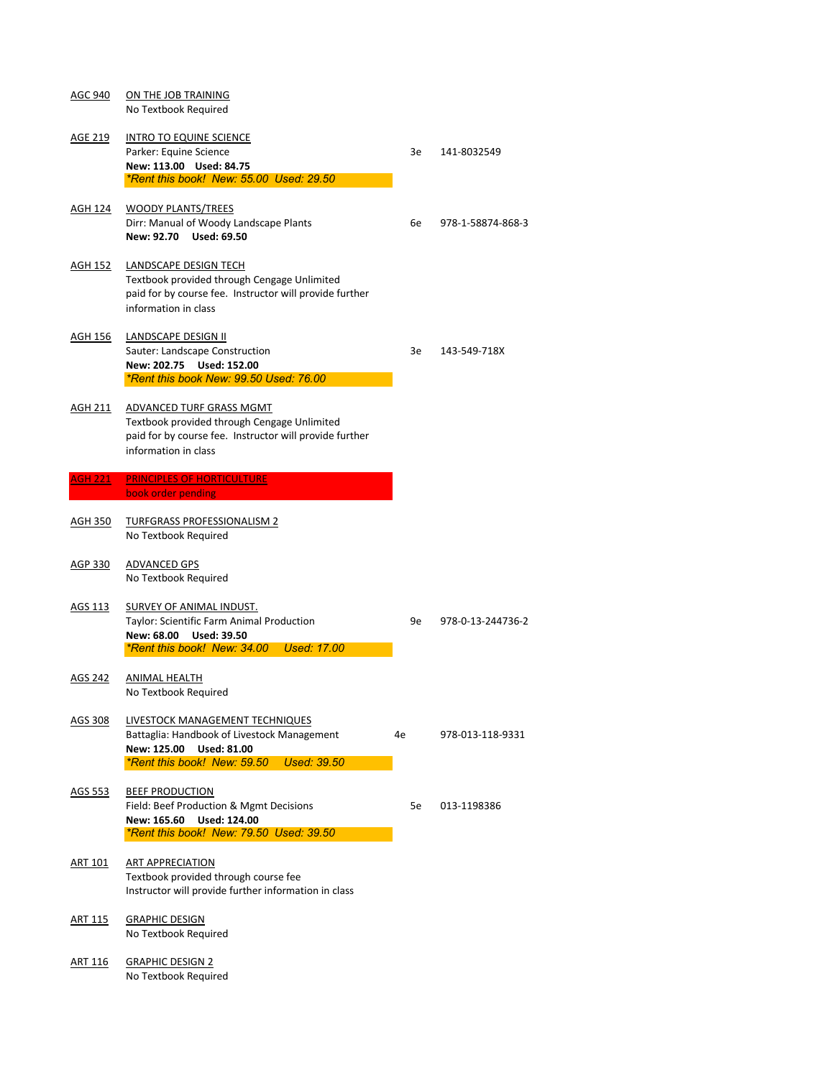| <b>AGC 940</b> | ON THE JOB TRAINING                                                                                    |    |                   |
|----------------|--------------------------------------------------------------------------------------------------------|----|-------------------|
|                | No Textbook Required                                                                                   |    |                   |
| <u>AGE 219</u> | <b>INTRO TO EQUINE SCIENCE</b>                                                                         |    |                   |
|                | Parker: Equine Science                                                                                 | 3e | 141-8032549       |
|                | New: 113.00 Used: 84.75                                                                                |    |                   |
|                | *Rent this book! New: 55.00 Used: 29.50                                                                |    |                   |
| <u>AGH 124</u> | <b>WOODY PLANTS/TREES</b>                                                                              |    |                   |
|                | Dirr: Manual of Woody Landscape Plants                                                                 | 6e | 978-1-58874-868-3 |
|                | New: 92.70 Used: 69.50                                                                                 |    |                   |
| <u>AGH 152</u> | <b>LANDSCAPE DESIGN TECH</b>                                                                           |    |                   |
|                | Textbook provided through Cengage Unlimited                                                            |    |                   |
|                | paid for by course fee. Instructor will provide further                                                |    |                   |
|                | information in class                                                                                   |    |                   |
|                |                                                                                                        |    |                   |
| <b>AGH 156</b> | <b>LANDSCAPE DESIGN II</b>                                                                             | 3e | 143-549-718X      |
|                | <b>Sauter: Landscape Construction</b><br>New: 202.75 Used: 152.00                                      |    |                   |
|                | *Rent this book New: 99.50 Used: 76.00                                                                 |    |                   |
|                |                                                                                                        |    |                   |
| AGH 211        | ADVANCED TURF GRASS MGMT                                                                               |    |                   |
|                | Textbook provided through Cengage Unlimited<br>paid for by course fee. Instructor will provide further |    |                   |
|                | information in class                                                                                   |    |                   |
|                |                                                                                                        |    |                   |
| <b>AGH 221</b> | <b>PRINCIPLES OF HORTICULTURE</b>                                                                      |    |                   |
|                | book order pending                                                                                     |    |                   |
| <b>AGH 350</b> | <b>TURFGRASS PROFESSIONALISM 2</b>                                                                     |    |                   |
|                | No Textbook Required                                                                                   |    |                   |
|                |                                                                                                        |    |                   |
| <b>AGP 330</b> | <b>ADVANCED GPS</b>                                                                                    |    |                   |
|                | No Textbook Required                                                                                   |    |                   |
| AGS 113        | <b>SURVEY OF ANIMAL INDUST.</b>                                                                        |    |                   |
|                | <b>Taylor: Scientific Farm Animal Production</b>                                                       | 9e | 978-0-13-244736-2 |
|                | New: 68.00<br><b>Used: 39.50</b>                                                                       |    |                   |
|                | *Rent this book! New: 34.00 Used: 17.00                                                                |    |                   |
| <b>AGS 242</b> | <b>ANIMAL HEALTH</b>                                                                                   |    |                   |
|                | No Textbook Required                                                                                   |    |                   |
|                |                                                                                                        |    |                   |

- AGS 308 LIVESTOCK MANAGEMENT TECHNIQUES Battaglia: Handbook of Livestock Management 4e 978-013-118-9331 **New: 125.00 Used: 81.00** *\*Rent this book! New: 59.50 Used: 39.50* AGS 553 BEEF PRODUCTION Field: Beef Production & Mgmt Decisions 5e 013-1198386 **New: 165.60 Used: 124.00**
- ART 101 ART APPRECIATION

- ART 115 GRAPHIC DESIGN No Textbook Required
- ART 116 GRAPHIC DESIGN 2 No Textbook Required

*\*Rent this book! New: 79.50 Used: 39.50*

Textbook provided through course fee Instructor will provide further information in class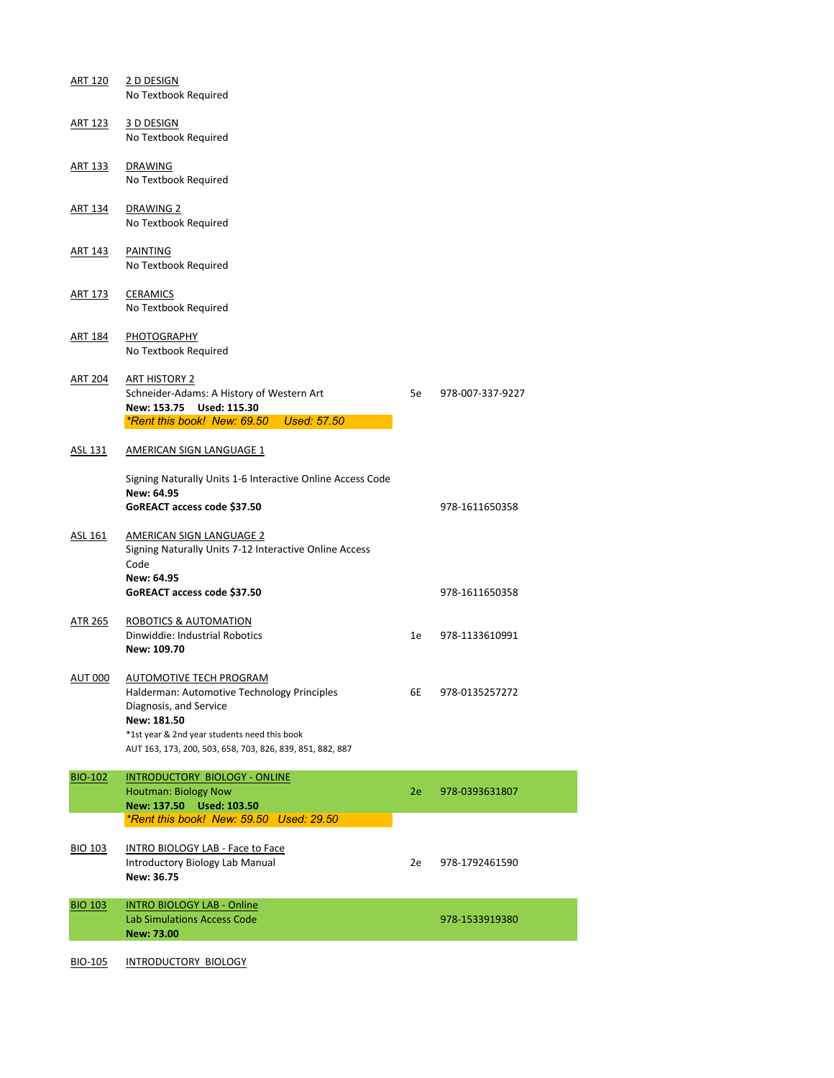| <b>ART 120</b> | 2 D DESIGN<br>No Textbook Required                                                                                                                           |    |                  |
|----------------|--------------------------------------------------------------------------------------------------------------------------------------------------------------|----|------------------|
| <b>ART 123</b> | 3 D DESIGN<br>No Textbook Required                                                                                                                           |    |                  |
| <u>ART 133</u> | <b>DRAWING</b><br>No Textbook Required                                                                                                                       |    |                  |
| <b>ART 134</b> | DRAWING 2<br>No Textbook Required                                                                                                                            |    |                  |
| <b>ART 143</b> | <b>PAINTING</b><br>No Textbook Required                                                                                                                      |    |                  |
| <u>ART 173</u> | <b>CERAMICS</b><br>No Textbook Required                                                                                                                      |    |                  |
| <b>ART 184</b> | PHOTOGRAPHY<br>No Textbook Required                                                                                                                          |    |                  |
| <b>ART 204</b> | <b>ART HISTORY 2</b><br>Schneider-Adams: A History of Western Art<br>New: 153.75<br><b>Used: 115.30</b><br>*Rent this book! New: 69.50<br><b>Used: 57.50</b> | 5e | 978-007-337-9227 |
| ASL 131        | AMERICAN SIGN LANGUAGE 1                                                                                                                                     |    |                  |
|                | Signing Naturally Units 1-6 Interactive Online Access Code<br>New: 64.95<br>GoREACT access code \$37.50                                                      |    | 978-1611650358   |
| ASL 161        | <b>AMERICAN SIGN LANGUAGE 2</b><br>Signing Naturally Units 7-12 Interactive Online Access<br>Code                                                            |    |                  |
|                | <b>New: 64.95</b><br>GoREACT access code \$37.50                                                                                                             |    | 978-1611650358   |
| <b>ATR 265</b> | <b>ROBOTICS &amp; AUTOMATION</b><br>Dinwiddie: Industrial Robotics<br>New: 109.70                                                                            | 1e | 978-1133610991   |
| <b>AUT 000</b> | AUTOMOTIVE TECH PROGRAM<br>Halderman: Automotive Technology Principles<br>Diagnosis, and Service                                                             | 6E | 978-0135257272   |

#### **New: 181.50**

\*1st year & 2nd year students need this book

AUT 163, 173, 200, 503, 658, 703, 826, 839, 851, 882, 887

# BIO-102 INTRODUCTORY BIOLOGY - ONLINE Houtman: Biology Now 2e 978-0393631807 **New: 137.50 Used: 103.50** *\*Rent this book! New: 59.50 Used: 29.50*

BIO 103 INTRO BIOLOGY LAB - Face to Face Introductory Biology Lab Manual 2e 978-1792461590 **New: 36.75**

| <b>BIO 103</b> | <b>INTRO BIOLOGY LAB - Online</b><br>Lab Simulations Access Code<br>New: 73.00 | 978-1533919380 |
|----------------|--------------------------------------------------------------------------------|----------------|
|                |                                                                                |                |

BIO-105 INTRODUCTORY BIOLOGY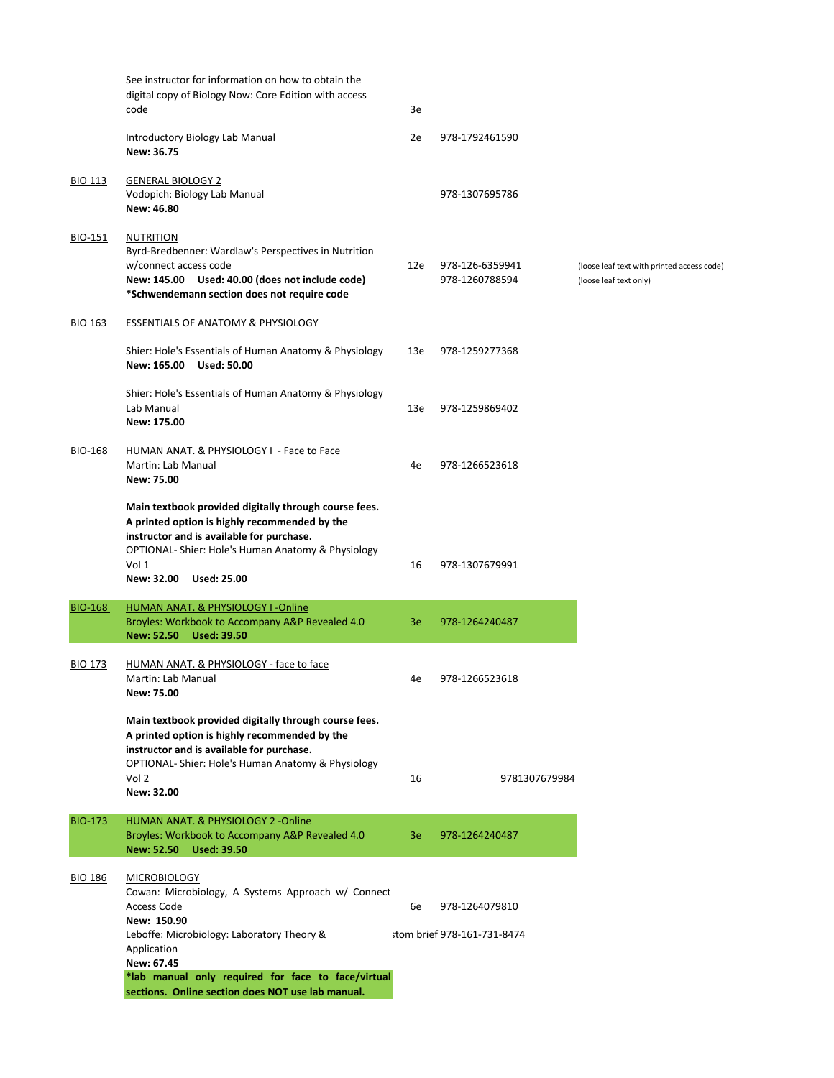|                | See instructor for information on how to obtain the<br>digital copy of Biology Now: Core Edition with access<br>code                                                                                                                                   | 3e  |                                   |                                                                      |
|----------------|--------------------------------------------------------------------------------------------------------------------------------------------------------------------------------------------------------------------------------------------------------|-----|-----------------------------------|----------------------------------------------------------------------|
|                | Introductory Biology Lab Manual<br><b>New: 36.75</b>                                                                                                                                                                                                   | 2e  | 978-1792461590                    |                                                                      |
| <b>BIO 113</b> | <b>GENERAL BIOLOGY 2</b><br>Vodopich: Biology Lab Manual<br>New: 46.80                                                                                                                                                                                 |     | 978-1307695786                    |                                                                      |
| <b>BIO-151</b> | <b>NUTRITION</b><br>Byrd-Bredbenner: Wardlaw's Perspectives in Nutrition<br>w/connect access code<br>New: 145.00 Used: 40.00 (does not include code)<br>*Schwendemann section does not require code                                                    | 12e | 978-126-6359941<br>978-1260788594 | (loose leaf text with printed access code)<br>(loose leaf text only) |
| <b>BIO 163</b> | <b>ESSENTIALS OF ANATOMY &amp; PHYSIOLOGY</b><br>Shier: Hole's Essentials of Human Anatomy & Physiology                                                                                                                                                | 13e | 978-1259277368                    |                                                                      |
|                | New: 165.00<br><b>Used: 50.00</b><br>Shier: Hole's Essentials of Human Anatomy & Physiology<br>Lab Manual                                                                                                                                              | 13e | 978-1259869402                    |                                                                      |
| BIO-168        | New: 175.00<br>HUMAN ANAT. & PHYSIOLOGY I - Face to Face<br><b>Martin: Lab Manual</b><br><b>New: 75.00</b>                                                                                                                                             | 4e  | 978-1266523618                    |                                                                      |
|                | Main textbook provided digitally through course fees.<br>A printed option is highly recommended by the<br>instructor and is available for purchase.<br>OPTIONAL- Shier: Hole's Human Anatomy & Physiology<br>Vol 1<br>New: 32.00<br><b>Used: 25.00</b> | 16  | 978-1307679991                    |                                                                      |
| <b>BIO-168</b> | HUMAN ANAT. & PHYSIOLOGY I-Online<br>Broyles: Workbook to Accompany A&P Revealed 4.0<br><b>New: 52.50</b><br><b>Used: 39.50</b>                                                                                                                        | 3e  | 978-1264240487                    |                                                                      |
| <b>BIO 173</b> | HUMAN ANAT. & PHYSIOLOGY - face to face<br><b>Martin: Lab Manual</b><br><b>New: 75.00</b>                                                                                                                                                              | 4e  | 978-1266523618                    |                                                                      |

**Main textbook provided digitally through course fees.** 

**A printed option is highly recommended by the instructor and is available for purchase.** OPTIONAL- Shier: Hole's Human Anatomy & Physiology Vol 2 16 9781307679984 **New: 32.00**

# BIO-173 HUMAN ANAT. & PHYSIOLOGY 2 -Online Broyles: Workbook to Accompany A&P Revealed 4.0 3e 978-1264240487 **New: 52.50 Used: 39.50**

## BIO 186 MICROBIOLOGY

Cowan: Microbiology, A Systems Approach w/ Connect Access Code 6e 978-1264079810 **New: 150.90** Leboffe: Microbiology: Laboratory Theory & stom brief 978-161-731-8474 Application **New: 67.45 \*lab manual only required for face to face/virtual sections. Online section does NOT use lab manual.**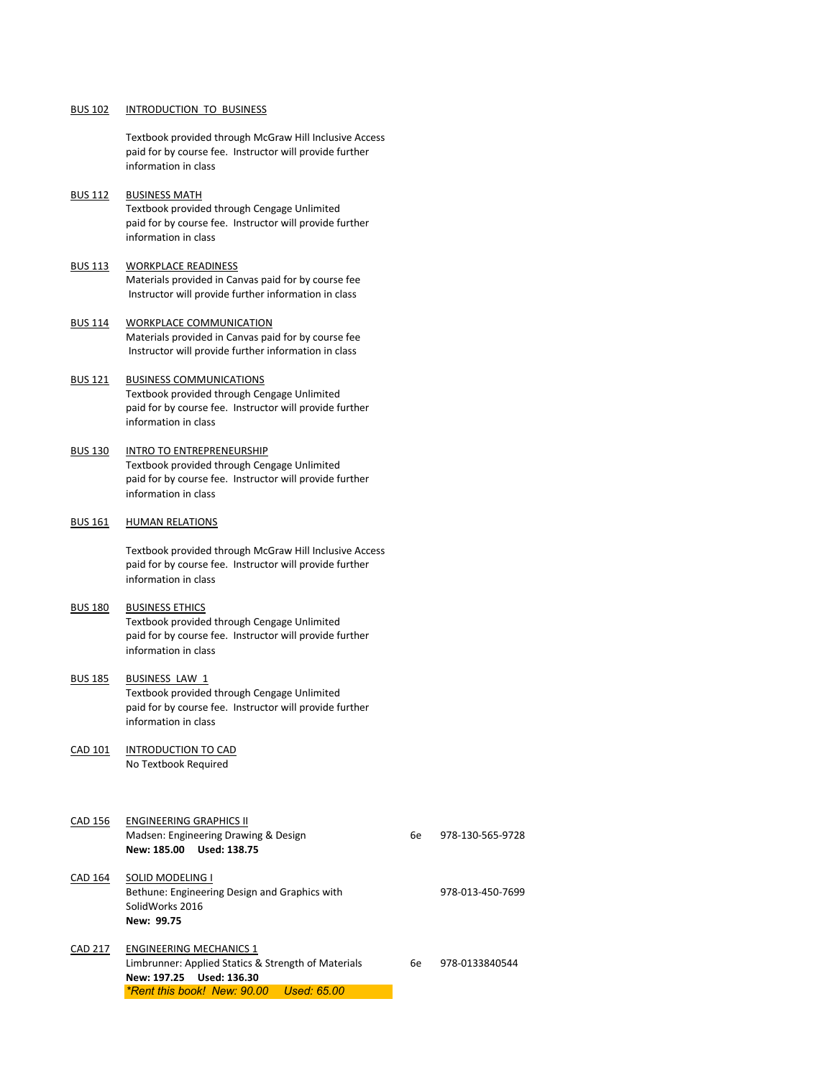#### BUS 102 INTRODUCTION TO BUSINESS

Textbook provided through McGraw Hill Inclusive Access paid for by course fee. Instructor will provide further information in class

#### **BUS 112 BUSINESS MATH**

Textbook provided through Cengage Unlimited paid for by course fee. Instructor will provide further information in class

#### BUS 113 WORKPLACE READINESS

Materials provided in Canvas paid for by course fee Instructor will provide further information in class

#### **BUS 114 WORKPLACE COMMUNICATION**

Materials provided in Canvas paid for by course fee Instructor will provide further information in class

#### BUS 121 BUSINESS COMMUNICATIONS

Textbook provided through Cengage Unlimited paid for by course fee. Instructor will provide further information in class

# **BUS 130 INTRO TO ENTREPRENEURSHIP**

Madsen: Engineering Drawing & Design 6e 978-130-565-9728 **New: 185.00 Used: 138.75**

CAD 164 SOLID MODELING I

Textbook provided through Cengage Unlimited paid for by course fee. Instructor will provide further information in class

#### BUS 161 HUMAN RELATIONS

Limbrunner: Applied Statics & Strength of Materials 6e 978-0133840544 **New: 197.25 Used: 136.30** *\*Rent this book! New: 90.00 Used: 65.00*

Textbook provided through McGraw Hill Inclusive Access paid for by course fee. Instructor will provide further information in class

#### **BUS 180 BUSINESS ETHICS**

Textbook provided through Cengage Unlimited paid for by course fee. Instructor will provide further information in class

#### BUS 185 BUSINESS LAW 1

Textbook provided through Cengage Unlimited paid for by course fee. Instructor will provide further information in class

#### CAD 101 INTRODUCTION TO CAD

No Textbook Required

## CAD 156 ENGINEERING GRAPHICS II

Bethune: Engineering Design and Graphics with 978-013-450-7699 SolidWorks 2016 **New: 99.75**

#### CAD 217 ENGINEERING MECHANICS 1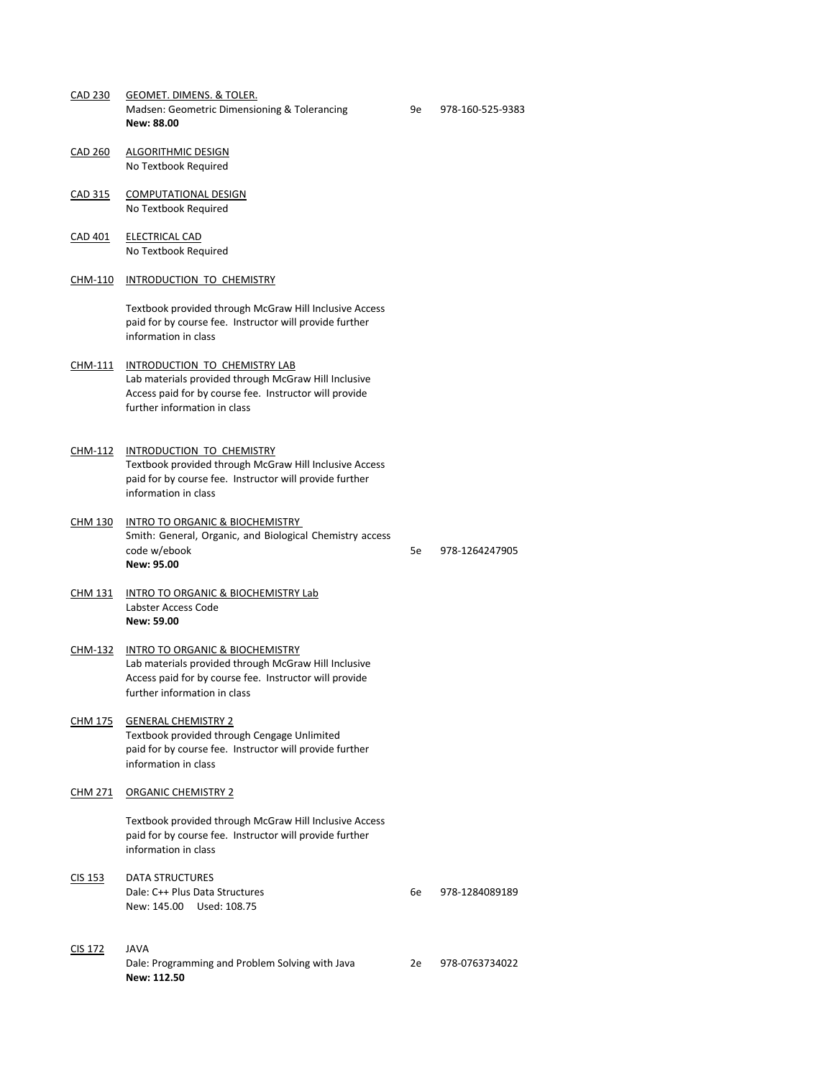CAD 230 GEOMET. DIMENS. & TOLER. Madsen: Geometric Dimensioning & Tolerancing 9e 978-160-525-9383 **New: 88.00**

- CAD 260 ALGORITHMIC DESIGN No Textbook Required
- CAD 315 COMPUTATIONAL DESIGN No Textbook Required
- CAD 401 ELECTRICAL CAD No Textbook Required
- CHM-110 INTRODUCTION TO CHEMISTRY

Textbook provided through McGraw Hill Inclusive Access paid for by course fee. Instructor will provide further information in class

Dale: C++ Plus Data Structures 6e 978-1284089189 New: 145.00 Used: 108.75

- CHM-111 INTRODUCTION TO CHEMISTRY LAB Lab materials provided through McGraw Hill Inclusive Access paid for by course fee. Instructor will provide further information in class
- CHM-112 INTRODUCTION TO CHEMISTRY Textbook provided through McGraw Hill Inclusive Access paid for by course fee. Instructor will provide further information in class
- CHM 130 INTRO TO ORGANIC & BIOCHEMISTRY Smith: General, Organic, and Biological Chemistry access code w/ebook 5e 978-1264247905 **New: 95.00**
- CHM 131 INTRO TO ORGANIC & BIOCHEMISTRY Lab Labster Access Code **New: 59.00**
- CHM-132 INTRO TO ORGANIC & BIOCHEMISTRY Lab materials provided through McGraw Hill Inclusive Access paid for by course fee. Instructor will provide further information in class
- CHM 175 GENERAL CHEMISTRY 2

Textbook provided through Cengage Unlimited paid for by course fee. Instructor will provide further information in class

#### CHM 271 ORGANIC CHEMISTRY 2

Textbook provided through McGraw Hill Inclusive Access paid for by course fee. Instructor will provide further information in class

CIS 153 DATA STRUCTURES

# CIS 172 JAVA

Dale: Programming and Problem Solving with Java 2e 978-0763734022 **New: 112.50**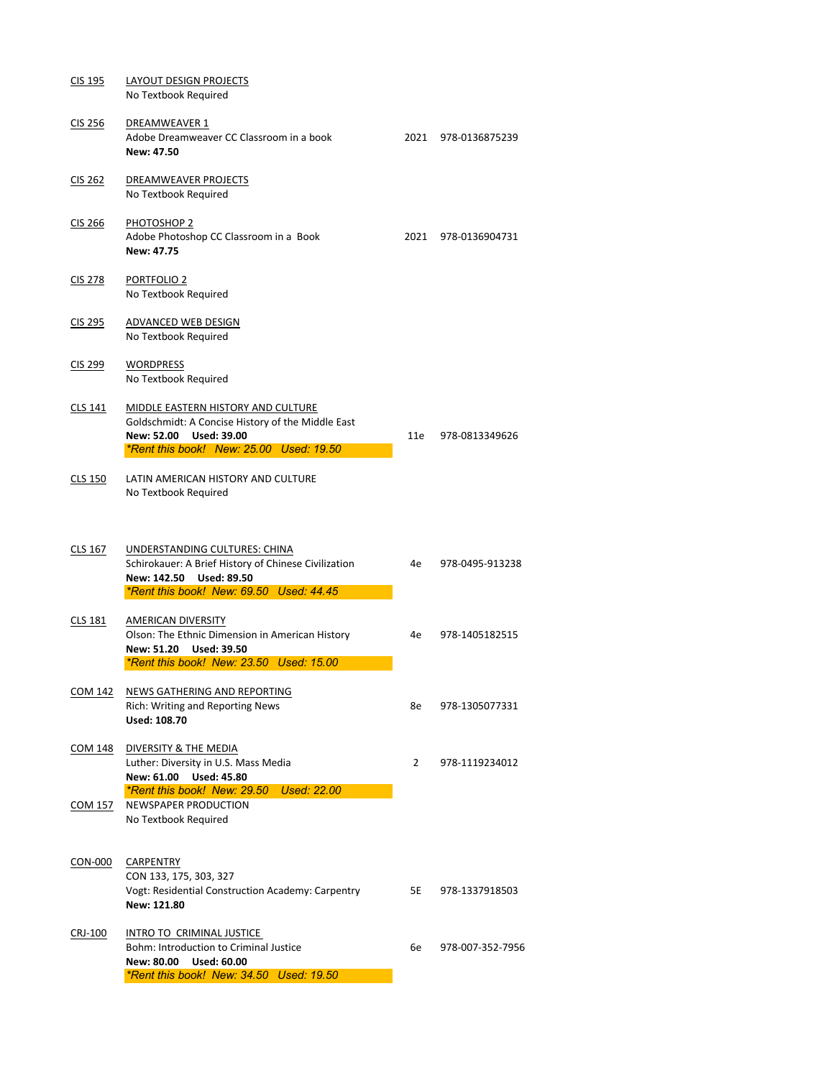COM 157 NEWSPAPER PRODUCTION No Textbook Required

| CIS 195        | <b>LAYOUT DESIGN PROJECTS</b><br>No Textbook Required                                                                                                                 |      |                    |
|----------------|-----------------------------------------------------------------------------------------------------------------------------------------------------------------------|------|--------------------|
| CIS 256        | <b>DREAMWEAVER 1</b><br>Adobe Dreamweaver CC Classroom in a book<br>New: 47.50                                                                                        | 2021 | 978-0136875239     |
| <b>CIS 262</b> | DREAMWEAVER PROJECTS<br>No Textbook Required                                                                                                                          |      |                    |
| <b>CIS 266</b> | PHOTOSHOP 2<br>Adobe Photoshop CC Classroom in a Book<br><b>New: 47.75</b>                                                                                            | 2021 | 978-0136904731     |
| <b>CIS 278</b> | <b>PORTFOLIO 2</b><br>No Textbook Required                                                                                                                            |      |                    |
| CIS 295        | <b>ADVANCED WEB DESIGN</b><br>No Textbook Required                                                                                                                    |      |                    |
| CIS 299        | <b>WORDPRESS</b><br>No Textbook Required                                                                                                                              |      |                    |
| <b>CLS 141</b> | <b>MIDDLE EASTERN HISTORY AND CULTURE</b><br>Goldschmidt: A Concise History of the Middle East<br>New: 52.00 Used: 39.00<br>*Rent this book! New: 25.00 Used: 19.50   |      | 11e 978-0813349626 |
| <b>CLS 150</b> | LATIN AMERICAN HISTORY AND CULTURE<br>No Textbook Required                                                                                                            |      |                    |
| CLS 167        | UNDERSTANDING CULTURES: CHINA<br>Schirokauer: A Brief History of Chinese Civilization<br><b>Used: 89.50</b><br>New: 142.50<br>*Rent this book! New: 69.50 Used: 44.45 | 4e   | 978-0495-913238    |
| <b>CLS 181</b> | <b>AMERICAN DIVERSITY</b><br>Olson: The Ethnic Dimension in American History<br><b>Used: 39.50</b><br>New: 51.20<br>*Rent this book! New: 23.50 Used: 15.00           | 4e   | 978-1405182515     |
| <b>COM 142</b> | NEWS GATHERING AND REPORTING<br><b>Rich: Writing and Reporting News</b>                                                                                               | 8e   | 978-1305077331     |

# **Used: 108.70**

# COM 148 DIVERSITY & THE MEDIA

Luther: Diversity in U.S. Mass Media 2 978-1119234012

**New: 61.00 Used: 45.80**

*\*Rent this book! New: 29.50 Used: 22.00*

## CON-000 CARPENTRY

CON 133, 175, 303, 327 Vogt: Residential Construction Academy: Carpentry 5E 978-1337918503 **New: 121.80**

## CRJ-100 INTRO TO CRIMINAL JUSTICE

Bohm: Introduction to Criminal Justice 6e 978-007-352-7956

**New: 80.00 Used: 60.00**

*\*Rent this book! New: 34.50 Used: 19.50*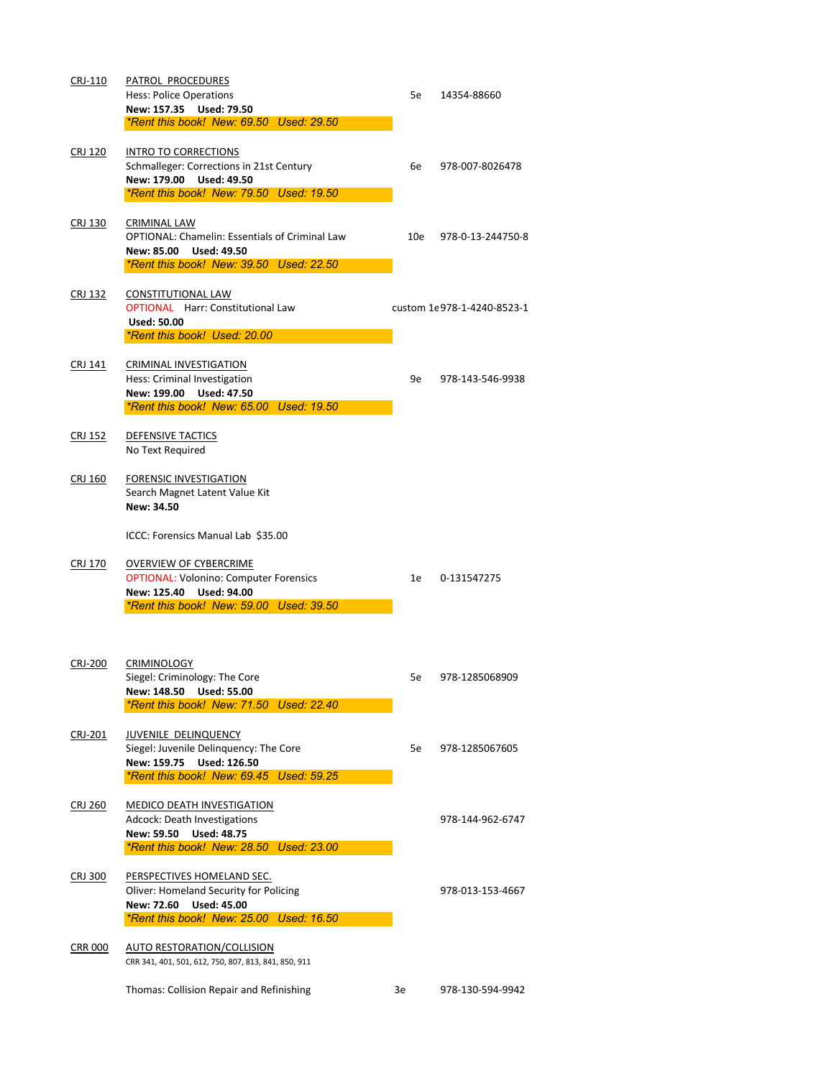| CRJ-110        | PATROL PROCEDURES<br><b>Hess: Police Operations</b><br>New: 157.35 Used: 79.50<br>*Rent this book! New: 69.50 Used: 29.50                                      | 5e  | 14354-88660                |  |
|----------------|----------------------------------------------------------------------------------------------------------------------------------------------------------------|-----|----------------------------|--|
| <b>CRJ 120</b> | <b>INTRO TO CORRECTIONS</b><br>Schmalleger: Corrections in 21st Century<br>New: 179.00 Used: 49.50<br>*Rent this book! New: 79.50 Used: 19.50                  | 6e  | 978-007-8026478            |  |
| CRJ 130        | <b>CRIMINAL LAW</b><br><b>OPTIONAL: Chamelin: Essentials of Criminal Law</b><br>New: 85.00<br><b>Used: 49.50</b><br>*Rent this book! New: 39.50 Used: 22.50    | 10e | 978-0-13-244750-8          |  |
| <u>CRJ 132</u> | <b>CONSTITUTIONAL LAW</b><br><b>OPTIONAL</b> Harr: Constitutional Law<br><b>Used: 50.00</b><br>*Rent this book! Used: 20.00                                    |     | custom 1e978-1-4240-8523-1 |  |
| CRJ 141        | <b>CRIMINAL INVESTIGATION</b><br>Hess: Criminal Investigation<br>New: 199.00<br><b>Used: 47.50</b><br>*Rent this book! New: 65.00 Used: 19.50                  | 9e  | 978-143-546-9938           |  |
| CRJ 152        | <b>DEFENSIVE TACTICS</b><br>No Text Required                                                                                                                   |     |                            |  |
| <b>CRJ 160</b> | <b>FORENSIC INVESTIGATION</b><br>Search Magnet Latent Value Kit<br>New: 34.50                                                                                  |     |                            |  |
|                | ICCC: Forensics Manual Lab \$35.00                                                                                                                             |     |                            |  |
| <b>CRJ 170</b> | <b>OVERVIEW OF CYBERCRIME</b><br><b>OPTIONAL: Volonino: Computer Forensics</b><br><b>Used: 94.00</b><br>New: 125.40<br>*Rent this book! New: 59.00 Used: 39.50 | 1e  | 0-131547275                |  |
| <b>CRJ-200</b> | <b>CRIMINOLOGY</b><br>Siegel: Criminology: The Core<br>New: 148.50 Used: 55.00                                                                                 | 5e  | 978-1285068909             |  |

## CRJ-201 JUVENILE DELINQUENCY

Siegel: Juvenile Delinquency: The Core 5e 5e 978-1285067605

*\*Rent this book! New: 71.50 Used: 22.40*

**New: 159.75 Used: 126.50**

*\*Rent this book! New: 69.45 Used: 59.25*

#### CRJ 260 MEDICO DEATH INVESTIGATION

Adcock: Death Investigations and the extendion of the extendion of the extendion of the extendion of the extendion of the extendion of the extendion of the extendion of the extendion of the extendion of the extendion of th

**New: 59.50 Used: 48.75**

*\*Rent this book! New: 28.50 Used: 23.00*

- CRJ 300 PERSPECTIVES HOMELAND SEC. Oliver: Homeland Security for Policing 1978-013-153-4667 **New: 72.60 Used: 45.00** *\*Rent this book! New: 25.00 Used: 16.50*
- CRR 000 AUTO RESTORATION/COLLISION

CRR 341, 401, 501, 612, 750, 807, 813, 841, 850, 911

Thomas: Collision Repair and Refinishing 3e 978-130-594-9942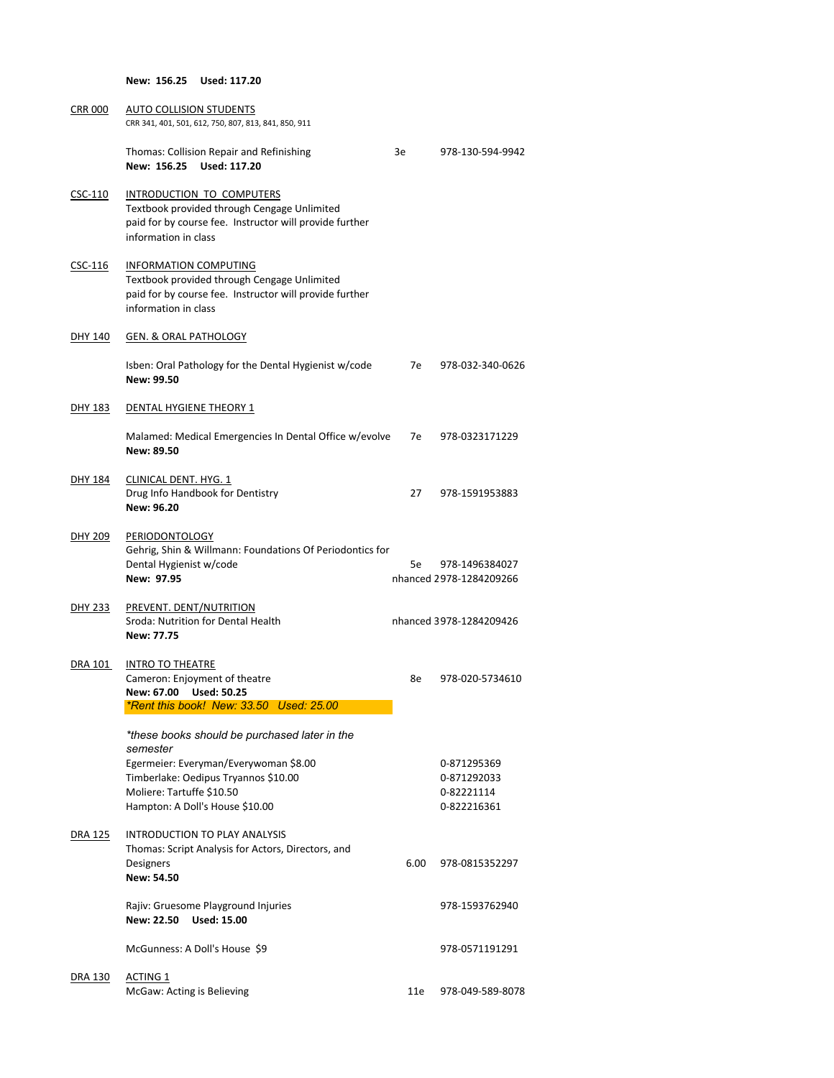**New: 156.25 Used: 117.20**

| <b>CRR 000</b> | <b>AUTO COLLISION STUDENTS</b><br>CRR 341, 401, 501, 612, 750, 807, 813, 841, 850, 911                                                                         |      |                                           |
|----------------|----------------------------------------------------------------------------------------------------------------------------------------------------------------|------|-------------------------------------------|
|                | <b>Thomas: Collision Repair and Refinishing</b><br>New: 156.25 Used: 117.20                                                                                    | 3e   | 978-130-594-9942                          |
| $CSC-110$      | INTRODUCTION TO COMPUTERS<br>Textbook provided through Cengage Unlimited<br>paid for by course fee. Instructor will provide further<br>information in class    |      |                                           |
| CSC-116        | <b>INFORMATION COMPUTING</b><br>Textbook provided through Cengage Unlimited<br>paid for by course fee. Instructor will provide further<br>information in class |      |                                           |
| <b>DHY 140</b> | <b>GEN. &amp; ORAL PATHOLOGY</b>                                                                                                                               |      |                                           |
|                | Isben: Oral Pathology for the Dental Hygienist w/code<br>New: 99.50                                                                                            | 7e - | 978-032-340-0626                          |
| <b>DHY 183</b> | DENTAL HYGIENE THEORY 1                                                                                                                                        |      |                                           |
|                | Malamed: Medical Emergencies In Dental Office w/evolve<br>New: 89.50                                                                                           | 7e — | 978-0323171229                            |
| DHY 184        | <b>CLINICAL DENT. HYG. 1</b><br>Drug Info Handbook for Dentistry<br>New: 96.20                                                                                 | 27   | 978-1591953883                            |
| <b>DHY 209</b> | PERIODONTOLOGY<br>Gehrig, Shin & Willmann: Foundations Of Periodontics for<br>Dental Hygienist w/code<br>New: 97.95                                            | 5e i | 978-1496384027<br>nhanced 2978-1284209266 |
| <u>DHY 233</u> | PREVENT. DENT/NUTRITION<br>Sroda: Nutrition for Dental Health<br>New: 77.75                                                                                    |      | nhanced 3978-1284209426                   |
| DRA 101        | <b>INTRO TO THEATRE</b><br>Cameron: Enjoyment of theatre<br>New: 67.00 Used: 50.25                                                                             | 8e   | 978-020-5734610                           |

*\*Rent this book! New: 33.50 Used: 25.00*

|                | *these books should be purchased later in the<br>semester                                  |      |                  |
|----------------|--------------------------------------------------------------------------------------------|------|------------------|
|                | Egermeier: Everyman/Everywoman \$8.00                                                      |      | 0-871295369      |
|                | Timberlake: Oedipus Tryannos \$10.00                                                       |      | 0-871292033      |
|                | Moliere: Tartuffe \$10.50                                                                  |      | 0-82221114       |
|                | Hampton: A Doll's House \$10.00                                                            |      | 0-822216361      |
| <b>DRA 125</b> | <b>INTRODUCTION TO PLAY ANALYSIS</b><br>Thomas: Script Analysis for Actors, Directors, and |      |                  |
|                | <b>Designers</b><br><b>New: 54.50</b>                                                      | 6.00 | 978-0815352297   |
|                | Rajiv: Gruesome Playground Injuries<br>New: 22.50 Used: 15.00                              |      | 978-1593762940   |
|                | McGunness: A Doll's House \$9                                                              |      | 978-0571191291   |
| <b>DRA 130</b> | <b>ACTING 1</b>                                                                            |      |                  |
|                | McGaw: Acting is Believing                                                                 | 11e  | 978-049-589-8078 |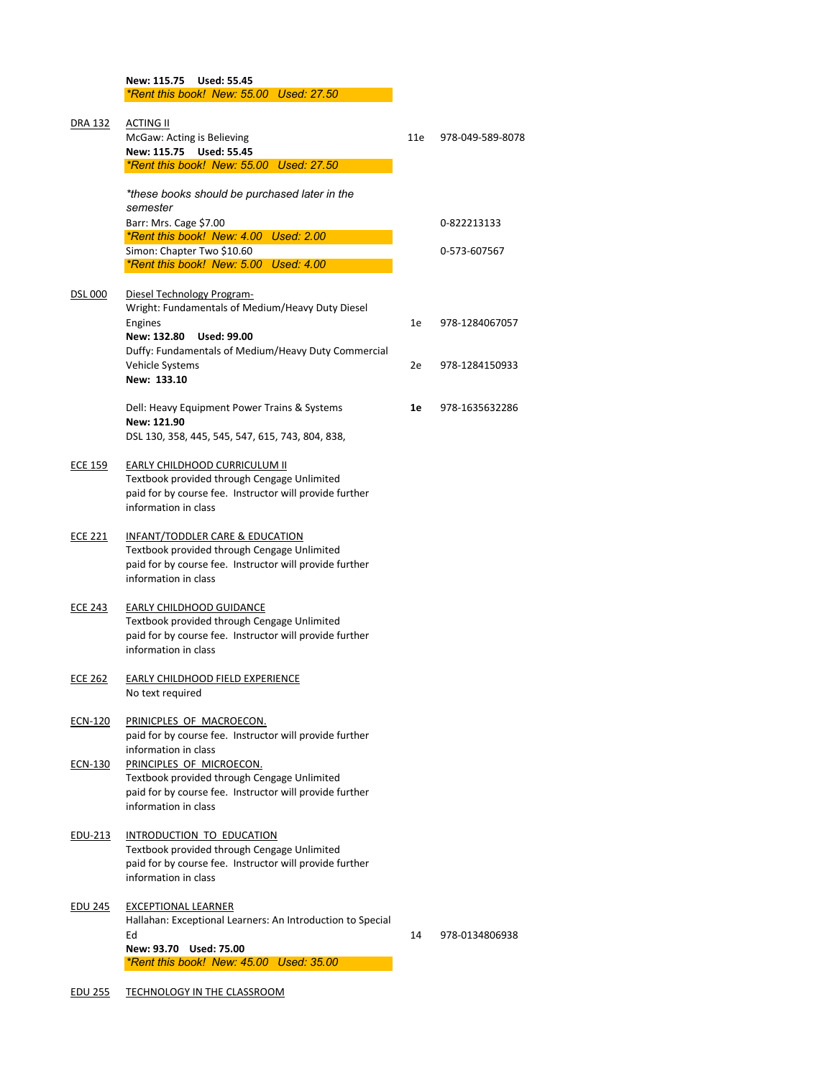**New: 115.75 Used: 55.45**

*\*Rent this book! New: 55.00 Used: 27.50* DRA 132 ACTING II

|                | McGaw: Acting is Believing<br>New: 115.75 Used: 55.45<br>*Rent this book! New: 55.00 Used: 27.50                                                                       | 11e | 978-049-589-8078 |
|----------------|------------------------------------------------------------------------------------------------------------------------------------------------------------------------|-----|------------------|
|                | *these books should be purchased later in the<br>semester                                                                                                              |     |                  |
|                | Barr: Mrs. Cage \$7.00                                                                                                                                                 |     | 0-822213133      |
|                | *Rent this book! New: 4.00 Used: 2.00                                                                                                                                  |     |                  |
|                | Simon: Chapter Two \$10.60<br>*Rent this book! New: 5.00 Used: 4.00                                                                                                    |     | 0-573-607567     |
|                |                                                                                                                                                                        |     |                  |
| <b>DSL 000</b> | Diesel Technology Program-<br>Wright: Fundamentals of Medium/Heavy Duty Diesel                                                                                         |     |                  |
|                | Engines<br>New: 132.80<br><b>Used: 99.00</b>                                                                                                                           | 1e  | 978-1284067057   |
|                | Duffy: Fundamentals of Medium/Heavy Duty Commercial<br>Vehicle Systems<br>New: 133.10                                                                                  | 2e  | 978-1284150933   |
|                | Dell: Heavy Equipment Power Trains & Systems<br>New: 121.90<br>DSL 130, 358, 445, 545, 547, 615, 743, 804, 838,                                                        | 1e  | 978-1635632286   |
| <b>ECE 159</b> | <b>EARLY CHILDHOOD CURRICULUM II</b><br>Textbook provided through Cengage Unlimited<br>paid for by course fee. Instructor will provide further<br>information in class |     |                  |
| <b>ECE 221</b> | INFANT/TODDLER CARE & EDUCATION<br>Textbook provided through Cengage Unlimited<br>paid for by course fee. Instructor will provide further<br>information in class      |     |                  |
| <b>ECE 243</b> | <b>EARLY CHILDHOOD GUIDANCE</b><br>Textbook provided through Cengage Unlimited<br>paid for by course fee. Instructor will provide further<br>information in class      |     |                  |
| <b>ECE 262</b> | <b>EARLY CHILDHOOD FIELD EXPERIENCE</b><br>No text required                                                                                                            |     |                  |

paid for by course fee. Instructor will provide further information in class

## ECN-130 PRINCIPLES OF MICROECON.

Textbook provided through Cengage Unlimited paid for by course fee. Instructor will provide further information in class

#### EDU-213 INTRODUCTION TO EDUCATION

Textbook provided through Cengage Unlimited paid for by course fee. Instructor will provide further information in class

#### EDU 245 EXCEPTIONAL LEARNER

Hallahan: Exceptional Learners: An Introduction to Special

Ed 20134806938 and 2014 14 0.000 14 0.000 14 0.000 14 0.000 14 0.000 14 0.000 14 0.000 14 0.000 14 0.000 14 0.000 14 0.000 14 0.000 16 1.000 16 1.000 16 1.000 16 1.000 16 1.000 16 1.000 16 1.000 16 1.000 16 1.000 16 1.000

**New: 93.70 Used: 75.00**

*\*Rent this book! New: 45.00 Used: 35.00*

#### EDU 255 TECHNOLOGY IN THE CLASSROOM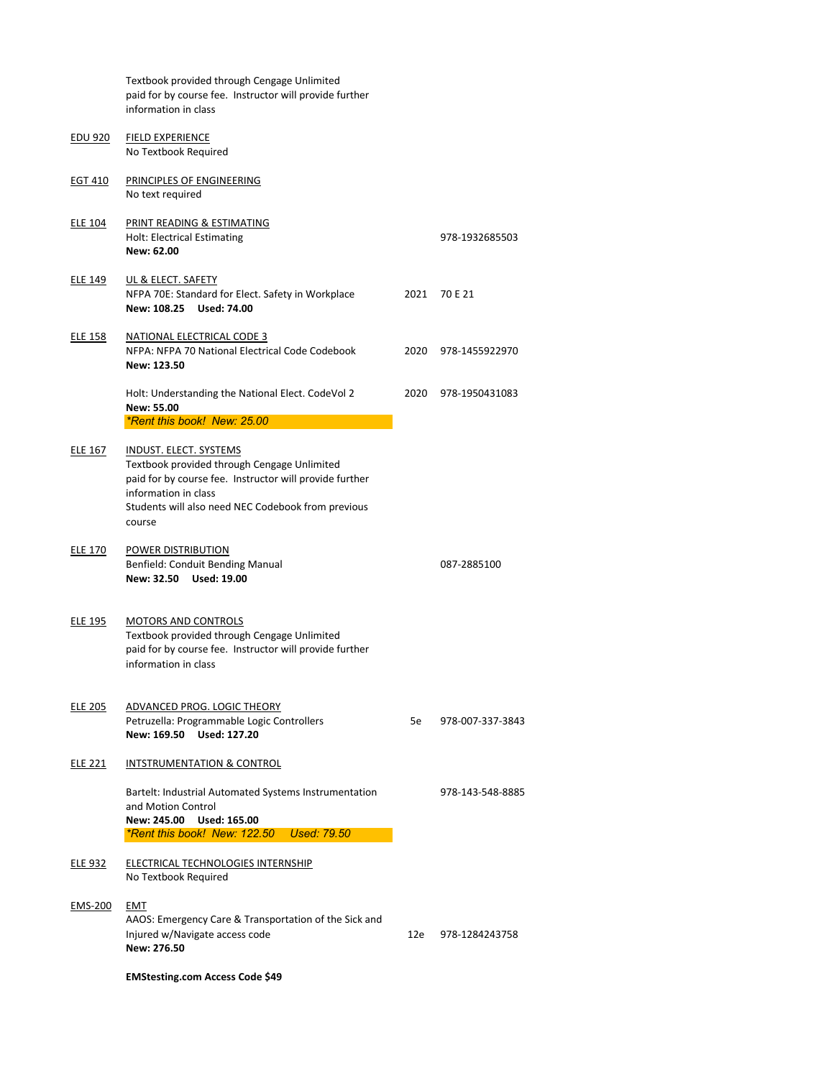|                | Textbook provided through Cengage Unlimited<br>paid for by course fee. Instructor will provide further<br>information in class                                                                                                  |      |                |
|----------------|---------------------------------------------------------------------------------------------------------------------------------------------------------------------------------------------------------------------------------|------|----------------|
| <b>EDU 920</b> | <b>FIELD EXPERIENCE</b><br>No Textbook Required                                                                                                                                                                                 |      |                |
| <b>EGT 410</b> | PRINCIPLES OF ENGINEERING<br>No text required                                                                                                                                                                                   |      |                |
| <b>ELE 104</b> | PRINT READING & ESTIMATING<br><b>Holt: Electrical Estimating</b><br>New: 62.00                                                                                                                                                  |      | 978-1932685503 |
| <b>ELE 149</b> | UL & ELECT. SAFETY<br>NFPA 70E: Standard for Elect. Safety in Workplace<br>New: 108.25<br><b>Used: 74.00</b>                                                                                                                    | 2021 | 70 E 21        |
| <b>ELE 158</b> | <b>NATIONAL ELECTRICAL CODE 3</b><br>NFPA: NFPA 70 National Electrical Code Codebook<br>New: 123.50                                                                                                                             | 2020 | 978-1455922970 |
|                | Holt: Understanding the National Elect. CodeVol 2<br><b>New: 55.00</b>                                                                                                                                                          | 2020 | 978-1950431083 |
|                | *Rent this book! New: 25.00                                                                                                                                                                                                     |      |                |
| <b>ELE 167</b> | <b>INDUST. ELECT. SYSTEMS</b><br>Textbook provided through Cengage Unlimited<br>paid for by course fee. Instructor will provide further<br>information in class<br>Students will also need NEC Codebook from previous<br>course |      |                |
| <b>ELE 170</b> | POWER DISTRIBUTION<br><b>Benfield: Conduit Bending Manual</b><br>New: 32.50 Used: 19.00                                                                                                                                         |      | 087-2885100    |
| <b>ELE 195</b> | <b>MOTORS AND CONTROLS</b><br>Textbook provided through Cengage Unlimited<br>paid for by course fee. Instructor will provide further<br>information in class                                                                    |      |                |
| <b>ELE 205</b> | ADVANCED PROG. LOGIC THEORY                                                                                                                                                                                                     |      |                |

Petruzella: Programmable Logic Controllers 5e 978-007-337-3843

**New: 169.50 Used: 127.20**

# ELE 221 INTSTRUMENTATION & CONTROL

Bartelt: Industrial Automated Systems Instrumentation 978-143-548-8885 and Motion Control

**New: 245.00 Used: 165.00**

*\*Rent this book! New: 122.50 Used: 79.50*

# ELE 932 ELECTRICAL TECHNOLOGIES INTERNSHIP

No Textbook Required

## EMS-200 EMT

AAOS: Emergency Care & Transportation of the Sick and Injured w/Navigate access code 12e 12e 978-1284243758 **New: 276.50**

**EMStesting.com Access Code \$49**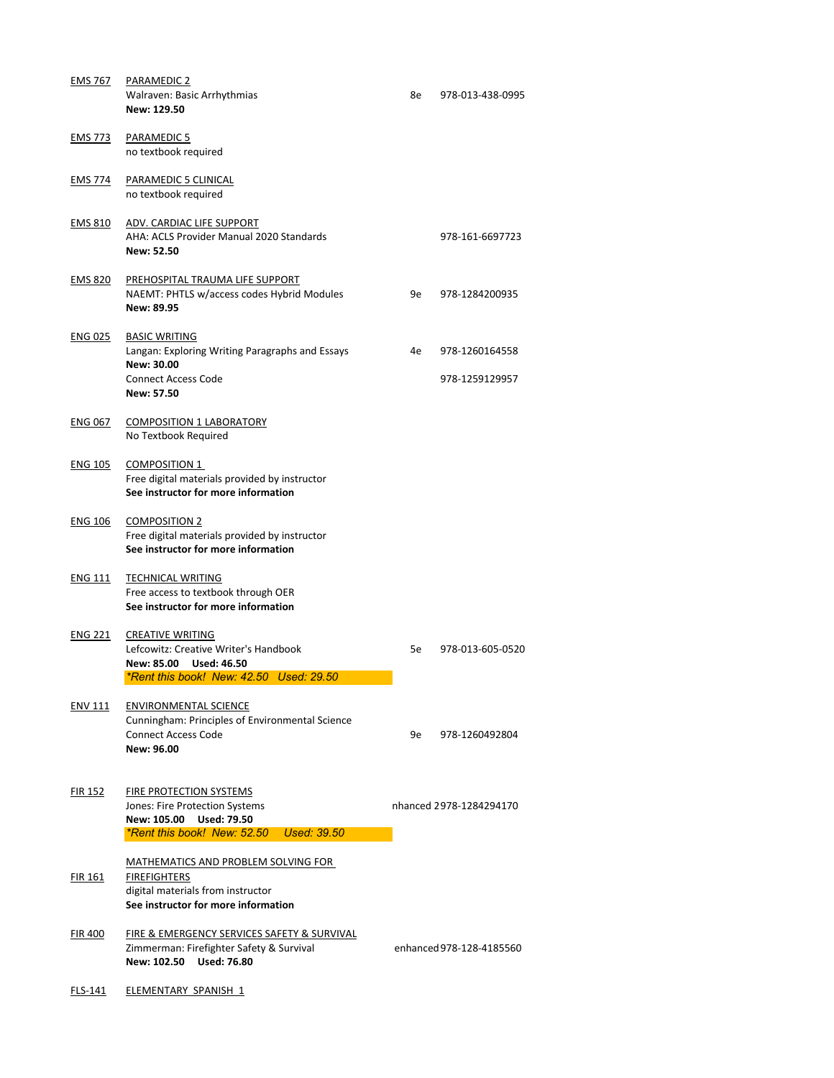| <b>EMS 767</b> | <b>PARAMEDIC 2</b><br><b>Walraven: Basic Arrhythmias</b><br>New: 129.50                                                                         | 8e | 978-013-438-0995                 |
|----------------|-------------------------------------------------------------------------------------------------------------------------------------------------|----|----------------------------------|
| <b>EMS 773</b> | <b>PARAMEDIC 5</b><br>no textbook required                                                                                                      |    |                                  |
| <b>EMS 774</b> | <b>PARAMEDIC 5 CLINICAL</b><br>no textbook required                                                                                             |    |                                  |
| <b>EMS 810</b> | ADV. CARDIAC LIFE SUPPORT<br>AHA: ACLS Provider Manual 2020 Standards<br><b>New: 52.50</b>                                                      |    | 978-161-6697723                  |
| <b>EMS 820</b> | PREHOSPITAL TRAUMA LIFE SUPPORT<br>NAEMT: PHTLS w/access codes Hybrid Modules<br><b>New: 89.95</b>                                              | 9e | 978-1284200935                   |
| <b>ENG 025</b> | <b>BASIC WRITING</b><br>Langan: Exploring Writing Paragraphs and Essays<br><b>New: 30.00</b><br><b>Connect Access Code</b><br><b>New: 57.50</b> | 4e | 978-1260164558<br>978-1259129957 |
| <b>ENG 067</b> | <b>COMPOSITION 1 LABORATORY</b><br>No Textbook Required                                                                                         |    |                                  |
| <b>ENG 105</b> | <b>COMPOSITION 1</b><br>Free digital materials provided by instructor<br>See instructor for more information                                    |    |                                  |
| <b>ENG 106</b> | <b>COMPOSITION 2</b><br>Free digital materials provided by instructor<br>See instructor for more information                                    |    |                                  |
| <b>ENG 111</b> | <b>TECHNICAL WRITING</b><br>Free access to textbook through OER<br>See instructor for more information                                          |    |                                  |
| <b>ENG 221</b> | <b>CREATIVE WRITING</b><br>Lefcowitz: Creative Writer's Handbook<br><b>Used: 46.50</b><br>New: 85.00<br>*Rent this book! New: 42.50 Used: 29.50 | 5e | 978-013-605-0520                 |
| <b>ENV 111</b> | <b>ENVIRONMENTAL SCIENCE</b>                                                                                                                    |    |                                  |

Zimmerman: Firefighter Safety & Survival enhanced 978-128-4185560 **New: 102.50 Used: 76.80**

FLS-141 ELEMENTARY SPANISH 1

Cunningham: Principles of Environmental Science

**New: 96.00**

Connect Access Code **6. Excess Code** 6. Excess 2014 120 MHz 9e 978-1260492804

# FIR 152 FIRE PROTECTION SYSTEMS

Jones: Fire Protection Systems nhanced 2978-1284294170

**New: 105.00 Used: 79.50**

*\*Rent this book! New: 52.50 Used: 39.50*

## MATHEMATICS AND PROBLEM SOLVING FOR

FIR 161 **FIREFIGHTERS** digital materials from instructor **See instructor for more information**

# FIR 400 FIRE & EMERGENCY SERVICES SAFETY & SURVIVAL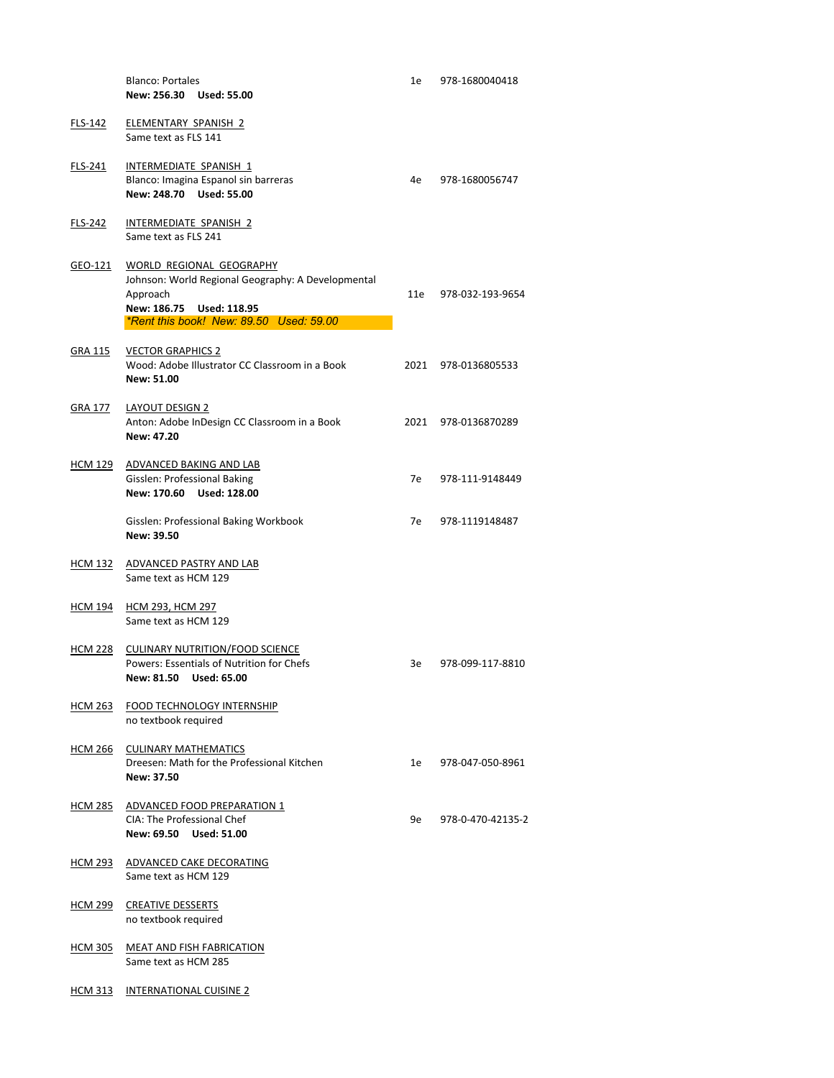|                | <b>Blanco: Portales</b><br>New: 256.30 Used: 55.00                                                                                                                | 1e   | 978-1680040418   |
|----------------|-------------------------------------------------------------------------------------------------------------------------------------------------------------------|------|------------------|
| <b>FLS-142</b> | ELEMENTARY SPANISH 2<br>Same text as FLS 141                                                                                                                      |      |                  |
| <b>FLS-241</b> | INTERMEDIATE SPANISH 1<br>Blanco: Imagina Espanol sin barreras<br>New: 248.70 Used: 55.00                                                                         | 4e   | 978-1680056747   |
| <b>FLS-242</b> | INTERMEDIATE SPANISH 2<br>Same text as FLS 241                                                                                                                    |      |                  |
| GEO-121        | WORLD REGIONAL GEOGRAPHY<br>Johnson: World Regional Geography: A Developmental<br>Approach<br>New: 186.75 Used: 118.95<br>*Rent this book! New: 89.50 Used: 59.00 | 11e  | 978-032-193-9654 |
| <b>GRA 115</b> | <b>VECTOR GRAPHICS 2</b><br>Wood: Adobe Illustrator CC Classroom in a Book<br><b>New: 51.00</b>                                                                   | 2021 | 978-0136805533   |
| <b>GRA 177</b> | <b>LAYOUT DESIGN 2</b><br>Anton: Adobe InDesign CC Classroom in a Book<br>New: 47.20                                                                              | 2021 | 978-0136870289   |
| <b>HCM 129</b> | ADVANCED BAKING AND LAB<br><b>Gisslen: Professional Baking</b><br>New: 170.60 Used: 128.00                                                                        | 7e   | 978-111-9148449  |
|                | <b>Gisslen: Professional Baking Workbook</b><br>New: 39.50                                                                                                        | 7e   | 978-1119148487   |
| <b>HCM 132</b> | ADVANCED PASTRY AND LAB<br>Same text as HCM 129                                                                                                                   |      |                  |
| <u>HCM 194</u> | <b>HCM 293, HCM 297</b><br>Same text as HCM 129                                                                                                                   |      |                  |
| <u>HCM 228</u> | <b>CULINARY NUTRITION/FOOD SCIENCE</b><br><b>Powers: Essentials of Nutrition for Chefs</b><br>New: 81.50 Used: 65.00                                              | 3e   | 978-099-117-8810 |
| <b>HCM 263</b> | <b>FOOD TECHNOLOGY INTERNSHIP</b>                                                                                                                                 |      |                  |

Dreesen: Math for the Professional Kitchen 1e 978-047-050-8961 **New: 37.50**

# HCM 285 ADVANCED FOOD PREPARATION 1 CIA: The Professional Chef 978-0-470-42135-2 **New: 69.50 Used: 51.00**

no textbook required

#### HCM 266 CULINARY MATHEMATICS

- HCM 293 ADVANCED CAKE DECORATING Same text as HCM 129
- HCM 299 CREATIVE DESSERTS no textbook required
- HCM 305 MEAT AND FISH FABRICATION Same text as HCM 285
- HCM 313 INTERNATIONAL CUISINE 2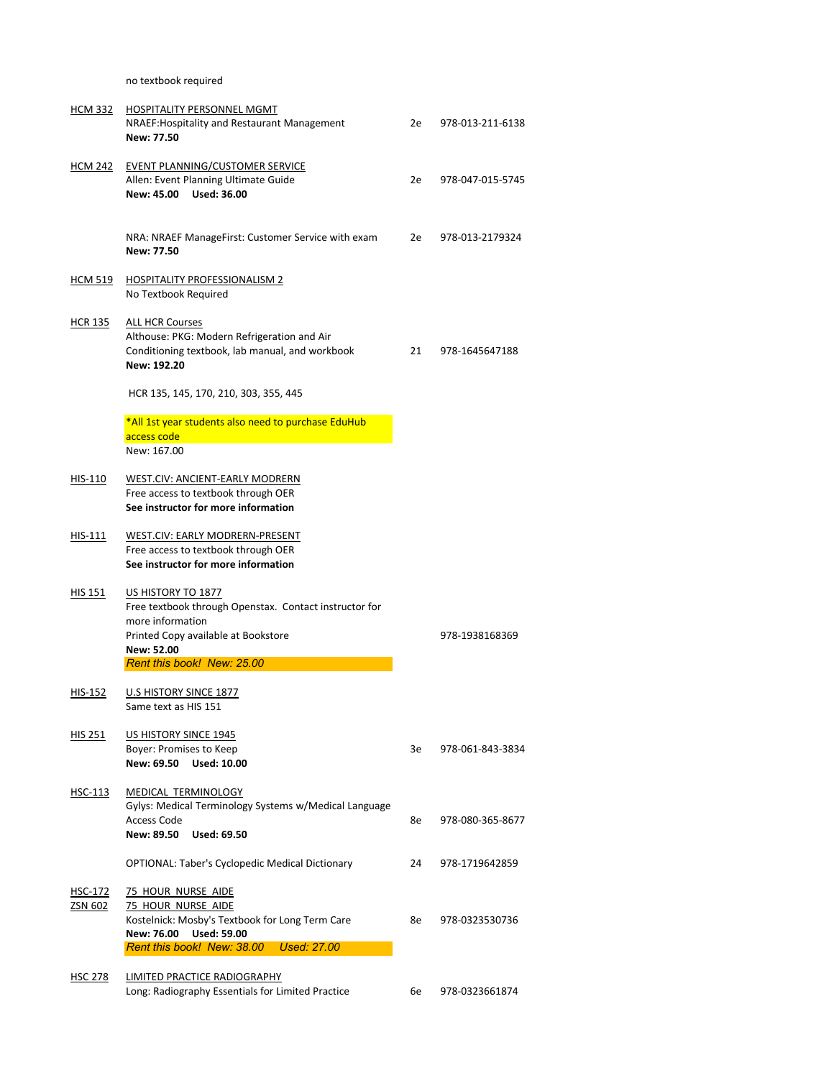no textbook required

| <b>HCM 332</b> | <b>HOSPITALITY PERSONNEL MGMT</b><br>NRAEF: Hospitality and Restaurant Management<br><b>New: 77.50</b>                                                                              | 2e | 978-013-211-6138 |
|----------------|-------------------------------------------------------------------------------------------------------------------------------------------------------------------------------------|----|------------------|
| <u>HCM 242</u> | <b>EVENT PLANNING/CUSTOMER SERVICE</b><br>Allen: Event Planning Ultimate Guide<br><b>New: 45.00</b><br><b>Used: 36.00</b>                                                           | 2e | 978-047-015-5745 |
|                | NRA: NRAEF ManageFirst: Customer Service with exam<br><b>New: 77.50</b>                                                                                                             | 2e | 978-013-2179324  |
| <b>HCM 519</b> | <b>HOSPITALITY PROFESSIONALISM 2</b><br>No Textbook Required                                                                                                                        |    |                  |
| <b>HCR 135</b> | <b>ALL HCR Courses</b><br>Althouse: PKG: Modern Refrigeration and Air<br>Conditioning textbook, lab manual, and workbook<br>New: 192.20                                             | 21 | 978-1645647188   |
|                | HCR 135, 145, 170, 210, 303, 355, 445                                                                                                                                               |    |                  |
|                | *All 1st year students also need to purchase EduHub<br>access code<br>New: 167.00                                                                                                   |    |                  |
| HIS-110        | <b>WEST.CIV: ANCIENT-EARLY MODRERN</b><br>Free access to textbook through OER<br>See instructor for more information                                                                |    |                  |
| HIS-111        | WEST.CIV: EARLY MODRERN-PRESENT<br>Free access to textbook through OER<br>See instructor for more information                                                                       |    |                  |
| <b>HIS 151</b> | US HISTORY TO 1877<br>Free textbook through Openstax. Contact instructor for<br>more information<br>Printed Copy available at Bookstore<br>New: 52.00<br>Rent this book! New: 25.00 |    | 978-1938168369   |
|                |                                                                                                                                                                                     |    |                  |

HIS-152 U.S HISTORY SINCE 1877 Same text as HIS 151

HIS 251 US HISTORY SINCE 1945

Boyer: Promises to Keep 3e 3e 978-061-843-3834

HSC-113 MEDICAL TERMINOLOGY Gylys: Medical Terminology Systems w/Medical Language Access Code 8e 978-080-365-8677

**New: 69.50 Used: 10.00**

**New: 89.50 Used: 69.50**

OPTIONAL: Taber's Cyclopedic Medical Dictionary 24 978-1719642859

- HSC-172 75 HOUR NURSE AIDE
- ZSN 602 75 HOUR NURSE AIDE Kostelnick: Mosby's Textbook for Long Term Care 8e 978-0323530736 **New: 76.00 Used: 59.00** *Rent this book! New: 38.00 Used: 27.00*

HSC 278 LIMITED PRACTICE RADIOGRAPHY

Long: Radiography Essentials for Limited Practice 6e 978-0323661874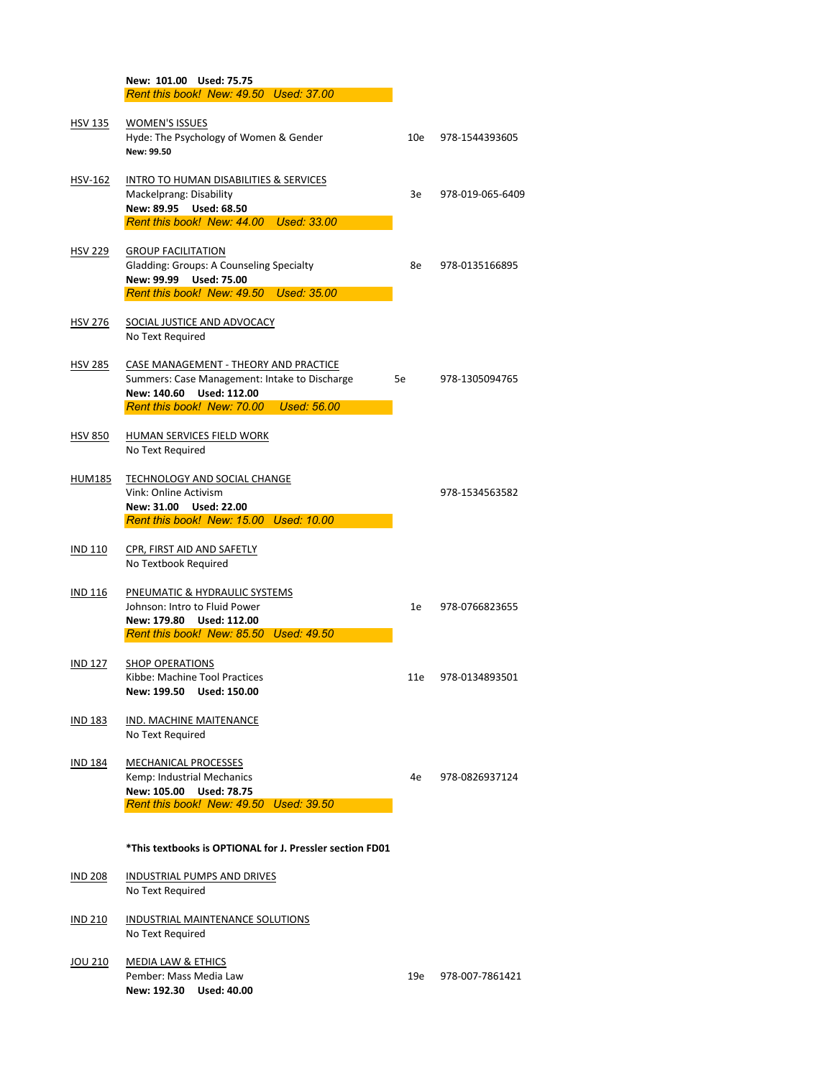|                | New: 101.00 Used: 75.75                           |     |                  |
|----------------|---------------------------------------------------|-----|------------------|
|                | Rent this book! New: 49.50 Used: 37.00            |     |                  |
|                |                                                   |     |                  |
| <b>HSV 135</b> | <b>WOMEN'S ISSUES</b>                             |     |                  |
|                | Hyde: The Psychology of Women & Gender            | 10e | 978-1544393605   |
|                | New: 99.50                                        |     |                  |
| HSV-162        | <b>INTRO TO HUMAN DISABILITIES &amp; SERVICES</b> |     |                  |
|                | Mackelprang: Disability                           | 3e  | 978-019-065-6409 |
|                | New: 89.95 Used: 68.50                            |     |                  |
|                | Rent this book! New: 44.00 Used: 33.00            |     |                  |
|                |                                                   |     |                  |
| <b>HSV 229</b> | <b>GROUP FACILITATION</b>                         |     |                  |
|                | <b>Gladding: Groups: A Counseling Specialty</b>   | 8e  | 978-0135166895   |
|                | New: 99.99 Used: 75.00                            |     |                  |
|                | Rent this book! New: 49.50 Used: 35.00            |     |                  |
|                |                                                   |     |                  |
| <b>HSV 276</b> | SOCIAL JUSTICE AND ADVOCACY                       |     |                  |
|                | No Text Required                                  |     |                  |
| <b>HSV 285</b> | CASE MANAGEMENT - THEORY AND PRACTICE             |     |                  |
|                | Summers: Case Management: Intake to Discharge     | 5e  | 978-1305094765   |
|                | <b>Used: 112.00</b><br>New: 140.60                |     |                  |
|                | Rent this book! New: 70.00 Used: 56.00            |     |                  |
|                |                                                   |     |                  |
| <b>HSV 850</b> | <b>HUMAN SERVICES FIELD WORK</b>                  |     |                  |
|                | No Text Required                                  |     |                  |
| HUM185         | <b>TECHNOLOGY AND SOCIAL CHANGE</b>               |     |                  |
|                | <b>Vink: Online Activism</b>                      |     | 978-1534563582   |
|                | New: 31.00 Used: 22.00                            |     |                  |
|                | Rent this book! New: 15.00 Used: 10.00            |     |                  |
|                |                                                   |     |                  |
| <b>IND 110</b> | CPR, FIRST AID AND SAFETLY                        |     |                  |
|                | No Textbook Required                              |     |                  |
| <b>IND 116</b> | PNEUMATIC & HYDRAULIC SYSTEMS                     |     |                  |
|                | Johnson: Intro to Fluid Power                     | 1e  | 978-0766823655   |
|                | New: 179.80 Used: 112.00                          |     |                  |
|                | Rent this book! New: 85.50 Used: 49.50            |     |                  |
|                |                                                   |     |                  |
| <b>IND 127</b> | <b>SHOP OPERATIONS</b>                            |     |                  |
|                | Kibbe: Machine Tool Practices                     | 11e | 978-0134893501   |
|                | New: 199.50 Used: 150.00                          |     |                  |

- IND 183 IND. MACHINE MAITENANCE
- No Text Required
- IND 184 MECHANICAL PROCESSES

Kemp: Industrial Mechanics and European and American Assembly 4e 978-0826937124 **New: 105.00 Used: 78.75**

Pember: Mass Media Law 19e 1978-007-7861421 **New: 192.30 Used: 40.00**

*Rent this book! New: 49.50 Used: 39.50*

**\*This textbooks is OPTIONAL for J. Pressler section FD01**

- IND 208 INDUSTRIAL PUMPS AND DRIVES No Text Required
- IND 210 INDUSTRIAL MAINTENANCE SOLUTIONS No Text Required

## JOU 210 MEDIA LAW & ETHICS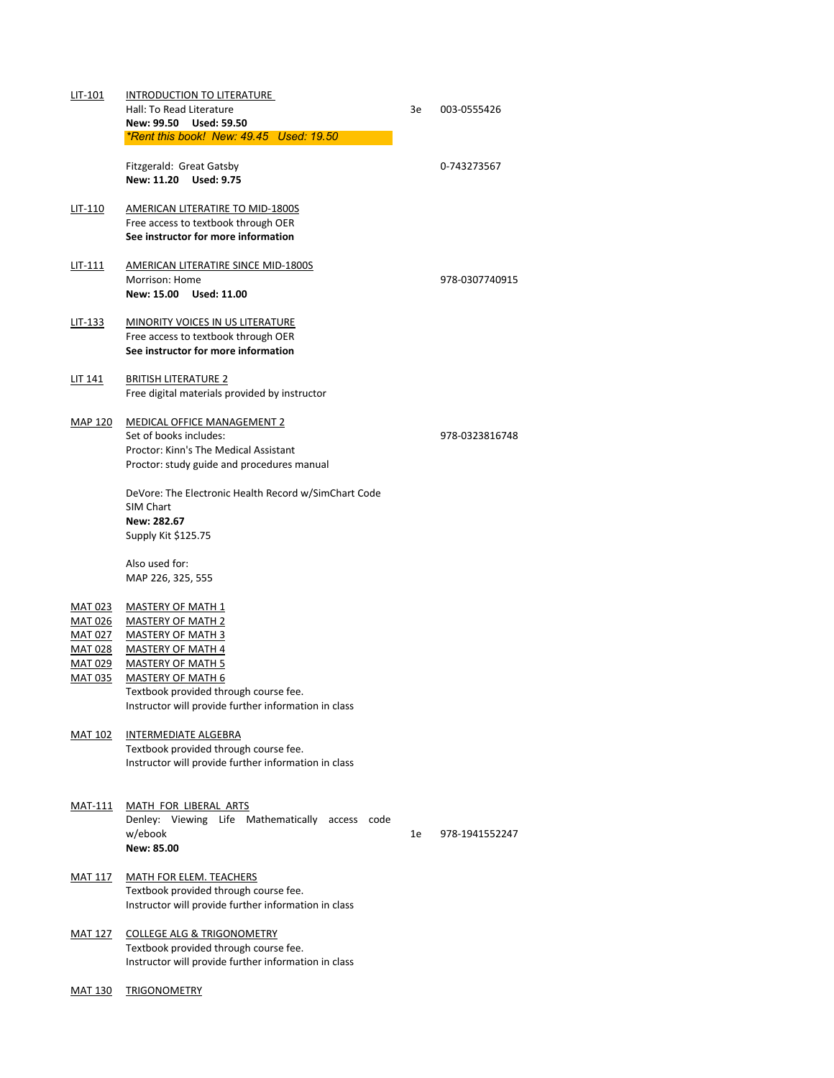| LIT-101        | <b>INTRODUCTION TO LITERATURE</b>                    |    |                |
|----------------|------------------------------------------------------|----|----------------|
|                | Hall: To Read Literature                             | 3e | 003-0555426    |
|                | New: 99.50 Used: 59.50                               |    |                |
|                | *Rent this book! New: 49.45 Used: 19.50              |    |                |
|                |                                                      |    |                |
|                | <b>Fitzgerald: Great Gatsby</b>                      |    | 0-743273567    |
|                | New: 11.20 Used: 9.75                                |    |                |
|                | AMERICAN LITERATIRE TO MID-1800S                     |    |                |
| LIT-110        | Free access to textbook through OER                  |    |                |
|                | See instructor for more information                  |    |                |
|                |                                                      |    |                |
| $LIT-111$      | AMERICAN LITERATIRE SINCE MID-1800S                  |    |                |
|                | <b>Morrison: Home</b>                                |    | 978-0307740915 |
|                | New: 15.00 Used: 11.00                               |    |                |
|                |                                                      |    |                |
| LIT-133        | MINORITY VOICES IN US LITERATURE                     |    |                |
|                | Free access to textbook through OER                  |    |                |
|                | See instructor for more information                  |    |                |
|                |                                                      |    |                |
| LIT 141        | <b>BRITISH LITERATURE 2</b>                          |    |                |
|                | Free digital materials provided by instructor        |    |                |
|                |                                                      |    |                |
| <b>MAP 120</b> | <b>MEDICAL OFFICE MANAGEMENT 2</b>                   |    |                |
|                | Set of books includes:                               |    | 978-0323816748 |
|                | <b>Proctor: Kinn's The Medical Assistant</b>         |    |                |
|                | Proctor: study guide and procedures manual           |    |                |
|                |                                                      |    |                |
|                | DeVore: The Electronic Health Record w/SimChart Code |    |                |
|                | <b>SIM Chart</b>                                     |    |                |
|                | New: 282.67                                          |    |                |
|                | Supply Kit \$125.75                                  |    |                |
|                | Also used for:                                       |    |                |
|                | MAP 226, 325, 555                                    |    |                |
|                |                                                      |    |                |
| <b>MAT 023</b> | <b>MASTERY OF MATH 1</b>                             |    |                |
| <u>MAT 026</u> | <b>MASTERY OF MATH 2</b>                             |    |                |
| <b>MAT 027</b> | <b>MASTERY OF MATH 3</b>                             |    |                |
| MAT 028        | <b>MASTERY OF MATH 4</b>                             |    |                |
| <u>MAT 029</u> | <b>MASTERY OF MATH 5</b>                             |    |                |
| <u>MAT 035</u> | <b>MASTERY OF MATH 6</b>                             |    |                |
|                | Textbook provided through course fee.                |    |                |

MAT 117 MATH FOR ELEM. TEACHERS Textbook provided through course fee. Instructor will provide further information in class

Instructor will provide further information in class

## MAT 102 INTERMEDIATE ALGEBRA

Textbook provided through course fee. Instructor will provide further information in class

#### MAT-111 MATH FOR LIBERAL ARTS

Denley: Viewing Life Mathematically access code w/ebook 1e 978-1941552247 **New: 85.00**

# MAT 127 COLLEGE ALG & TRIGONOMETRY

Textbook provided through course fee. Instructor will provide further information in class

MAT 130 TRIGONOMETRY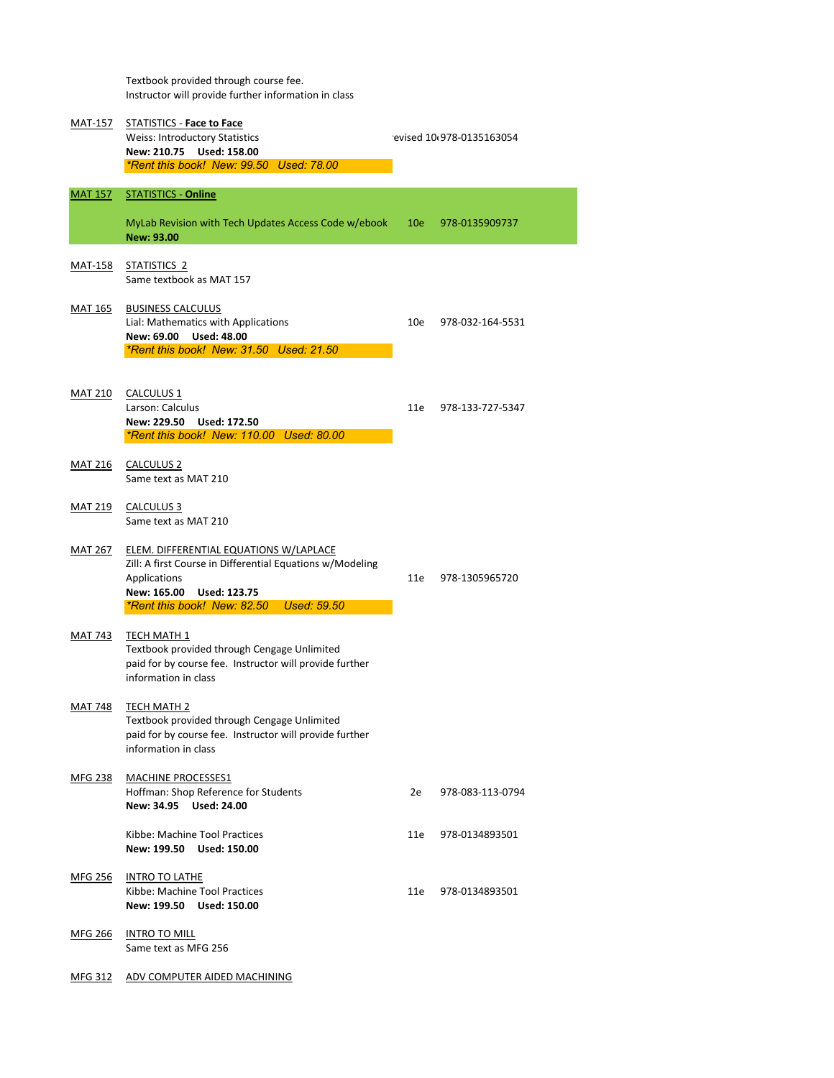Textbook provided through course fee. Instructor will provide further information in class

| <b>MAT-157</b> | <b>STATISTICS - Face to Face</b><br><b>Weiss: Introductory Statistics</b><br>New: 210.75 Used: 158.00<br>*Rent this book! New: 99.50 Used: 78.00                                                               |     | evised 10 978-0135163054 |  |  |
|----------------|----------------------------------------------------------------------------------------------------------------------------------------------------------------------------------------------------------------|-----|--------------------------|--|--|
| <b>MAT 157</b> | <b>STATISTICS - Online</b><br>MyLab Revision with Tech Updates Access Code w/ebook<br><b>New: 93.00</b>                                                                                                        | 10e | 978-0135909737           |  |  |
| <b>MAT-158</b> | STATISTICS <sub>2</sub><br>Same textbook as MAT 157                                                                                                                                                            |     |                          |  |  |
| <b>MAT 165</b> | <b>BUSINESS CALCULUS</b><br>Lial: Mathematics with Applications<br>New: 69.00<br><b>Used: 48.00</b><br><i><b>*Rent this book! New: 31.50 Used: 21.50</b></i>                                                   | 10e | 978-032-164-5531         |  |  |
| <b>MAT 210</b> | CALCULUS <sub>1</sub><br>Larson: Calculus<br>New: 229.50 Used: 172.50<br>*Rent this book! New: 110.00 Used: 80.00                                                                                              | 11e | 978-133-727-5347         |  |  |
| <b>MAT 216</b> | <b>CALCULUS 2</b><br>Same text as MAT 210                                                                                                                                                                      |     |                          |  |  |
| <u>MAT 219</u> | CALCULUS <sub>3</sub><br>Same text as MAT 210                                                                                                                                                                  |     |                          |  |  |
| <b>MAT 267</b> | ELEM. DIFFERENTIAL EQUATIONS W/LAPLACE<br>Zill: A first Course in Differential Equations w/Modeling<br>Applications<br>New: 165.00<br><b>Used: 123.75</b><br>*Rent this book! New: 82.50<br><b>Used: 59.50</b> | 11e | 978-1305965720           |  |  |
| <b>MAT 743</b> | <b>TECH MATH 1</b><br>Textbook provided through Cengage Unlimited<br>paid for by course fee. Instructor will provide further<br>information in class                                                           |     |                          |  |  |
| MAT 748        | <b>TECH MATH 2</b>                                                                                                                                                                                             |     |                          |  |  |

Textbook provided through Cengage Unlimited paid for by course fee. Instructor will provide further information in class

# MFG 238 MACHINE PROCESSES1 Hoffman: Shop Reference for Students 2e 978-083-113-0794 **New: 34.95 Used: 24.00** Kibbe: Machine Tool Practices 11e 978-0134893501

**New: 199.50 Used: 150.00**

MFG 256 INTRO TO LATHE Kibbe: Machine Tool Practices 11e 978-0134893501 **New: 199.50 Used: 150.00**

MFG 266 INTRO TO MILL Same text as MFG 256

MFG 312 ADV COMPUTER AIDED MACHINING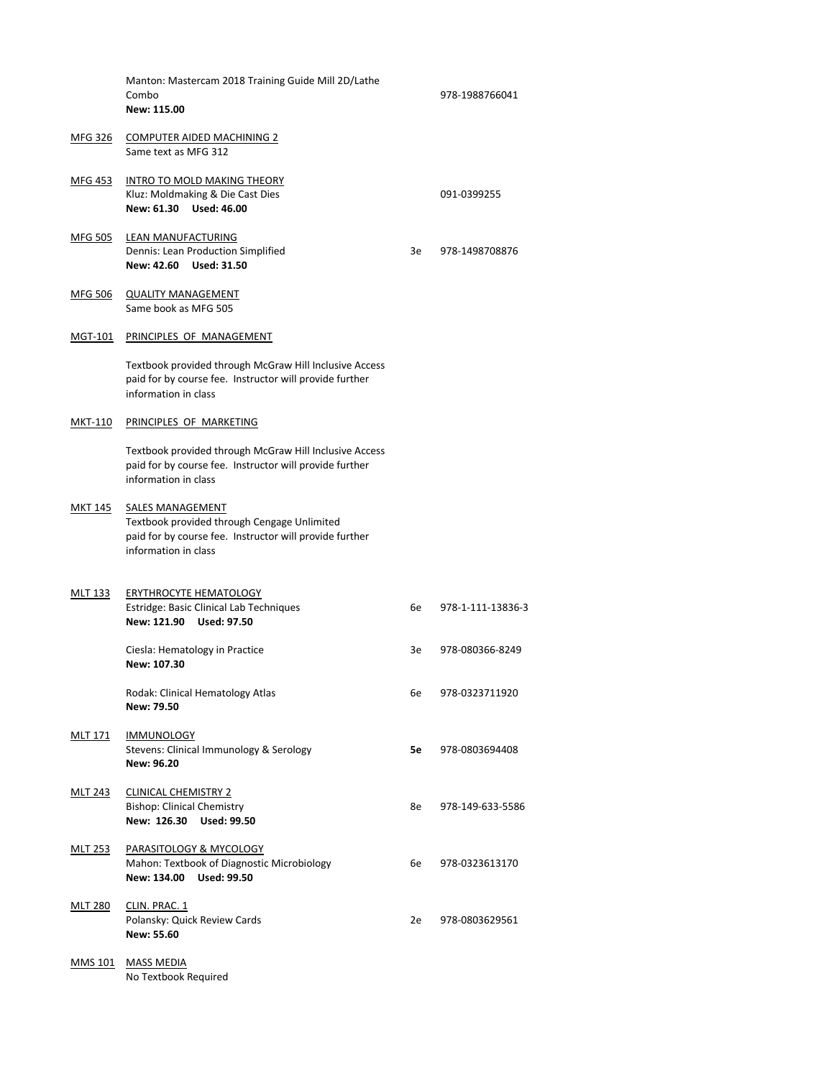|                | Manton: Mastercam 2018 Training Guide Mill 2D/Lathe<br>Combo<br>New: 115.00                                                                               |    | 978-1988766041    |
|----------------|-----------------------------------------------------------------------------------------------------------------------------------------------------------|----|-------------------|
| MFG 326        | <b>COMPUTER AIDED MACHINING 2</b><br>Same text as MFG 312                                                                                                 |    |                   |
| MFG 453        | <b>INTRO TO MOLD MAKING THEORY</b><br>Kluz: Moldmaking & Die Cast Dies<br>New: 61.30 Used: 46.00                                                          |    | 091-0399255       |
| <b>MFG 505</b> | <b>LEAN MANUFACTURING</b><br><b>Dennis: Lean Production Simplified</b><br>New: 42.60 Used: 31.50                                                          | 3e | 978-1498708876    |
| MFG 506        | <b>QUALITY MANAGEMENT</b><br>Same book as MFG 505                                                                                                         |    |                   |
| MGT-101        | PRINCIPLES OF MANAGEMENT                                                                                                                                  |    |                   |
|                | Textbook provided through McGraw Hill Inclusive Access<br>paid for by course fee. Instructor will provide further<br>information in class                 |    |                   |
| MKT-110        | PRINCIPLES OF MARKETING                                                                                                                                   |    |                   |
|                | Textbook provided through McGraw Hill Inclusive Access<br>paid for by course fee. Instructor will provide further<br>information in class                 |    |                   |
| MKT 145        | <b>SALES MANAGEMENT</b><br>Textbook provided through Cengage Unlimited<br>paid for by course fee. Instructor will provide further<br>information in class |    |                   |
| MLT 133        | <b>ERYTHROCYTE HEMATOLOGY</b><br><b>Estridge: Basic Clinical Lab Techniques</b><br>New: 121.90<br><b>Used: 97.50</b>                                      | 6e | 978-1-111-13836-3 |
|                | Ciesla: Hematology in Practice<br>New: 107.30                                                                                                             | 3e | 978-080366-8249   |
|                | <b>Rodak: Clinical Hematology Atlas</b><br>New: 79.50                                                                                                     | 6e | 978-0323711920    |

# MLT 171 IMMUNOLOGY

- MLT 243 CLINICAL CHEMISTRY 2 Bishop: Clinical Chemistry **8e** 978-149-633-5586 **New: 126.30 Used: 99.50**
- MLT 253 PARASITOLOGY & MYCOLOGY Mahon: Textbook of Diagnostic Microbiology 6e 978-0323613170 **New: 134.00 Used: 99.50**
	-

MLT 280 CLIN. PRAC. 1

Polansky: Quick Review Cards 2e 978-0803629561 **New: 55.60**

MMS 101 MASS MEDIA No Textbook Required

Stevens: Clinical Immunology & Serology **5e** 978-0803694408 **New: 96.20**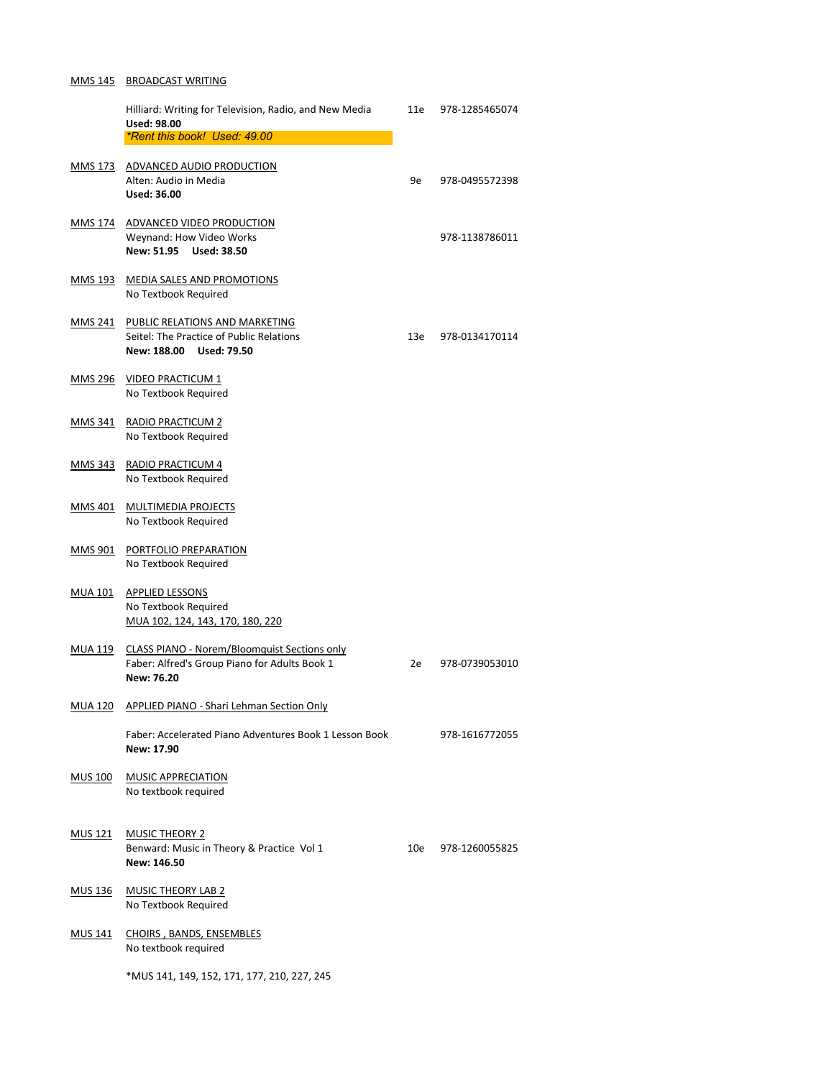#### MMS 145 BROADCAST WRITING

|                | Hilliard: Writing for Television, Radio, and New Media                                               | 11e | 978-1285465074 |
|----------------|------------------------------------------------------------------------------------------------------|-----|----------------|
|                | <b>Used: 98.00</b><br>*Rent this book! Used: 49.00                                                   |     |                |
|                |                                                                                                      |     |                |
| MMS 173        | ADVANCED AUDIO PRODUCTION                                                                            |     |                |
|                | Alten: Audio in Media                                                                                | 9e  | 978-0495572398 |
|                | <b>Used: 36.00</b>                                                                                   |     |                |
|                | MMS 174 ADVANCED VIDEO PRODUCTION                                                                    |     |                |
|                | Weynand: How Video Works                                                                             |     | 978-1138786011 |
|                | New: 51.95 Used: 38.50                                                                               |     |                |
| <u>MMS 193</u> | <b>MEDIA SALES AND PROMOTIONS</b>                                                                    |     |                |
|                | No Textbook Required                                                                                 |     |                |
|                |                                                                                                      |     |                |
| MMS 241        | PUBLIC RELATIONS AND MARKETING                                                                       |     |                |
|                | Seitel: The Practice of Public Relations                                                             | 13e | 978-0134170114 |
|                | New: 188.00 Used: 79.50                                                                              |     |                |
| <b>MMS 296</b> | <b>VIDEO PRACTICUM 1</b>                                                                             |     |                |
|                | No Textbook Required                                                                                 |     |                |
|                |                                                                                                      |     |                |
| <b>MMS 341</b> | <b>RADIO PRACTICUM 2</b><br>No Textbook Required                                                     |     |                |
|                |                                                                                                      |     |                |
| <u>MMS 343</u> | <b>RADIO PRACTICUM 4</b>                                                                             |     |                |
|                | No Textbook Required                                                                                 |     |                |
| <b>MMS 401</b> | <b>MULTIMEDIA PROJECTS</b>                                                                           |     |                |
|                | No Textbook Required                                                                                 |     |                |
|                |                                                                                                      |     |                |
| <b>MMS 901</b> | PORTFOLIO PREPARATION                                                                                |     |                |
|                | No Textbook Required                                                                                 |     |                |
| <b>MUA 101</b> | <b>APPLIED LESSONS</b>                                                                               |     |                |
|                | No Textbook Required                                                                                 |     |                |
|                | MUA 102, 124, 143, 170, 180, 220                                                                     |     |                |
|                |                                                                                                      |     |                |
| MUA 119        | <b>CLASS PIANO - Norem/Bloomquist Sections only</b><br>Faber: Alfred's Group Piano for Adults Book 1 | 2e  | 978-0739053010 |
|                | <b>New: 76.20</b>                                                                                    |     |                |
|                |                                                                                                      |     |                |

Faber: Accelerated Piano Adventures Book 1 Lesson Book 978-1616772055 **New: 17.90**

MUS 136 MUSIC THEORY LAB 2 No Textbook Required

MUA 120 APPLIED PIANO - Shari Lehman Section Only

# MUS 100 MUSIC APPRECIATION

No textbook required

MUS 121 MUSIC THEORY 2 Benward: Music in Theory & Practice Vol 1 10e 978-1260055825 **New: 146.50** 

# MUS 141 CHOIRS , BANDS, ENSEMBLES No textbook required

\*MUS 141, 149, 152, 171, 177, 210, 227, 245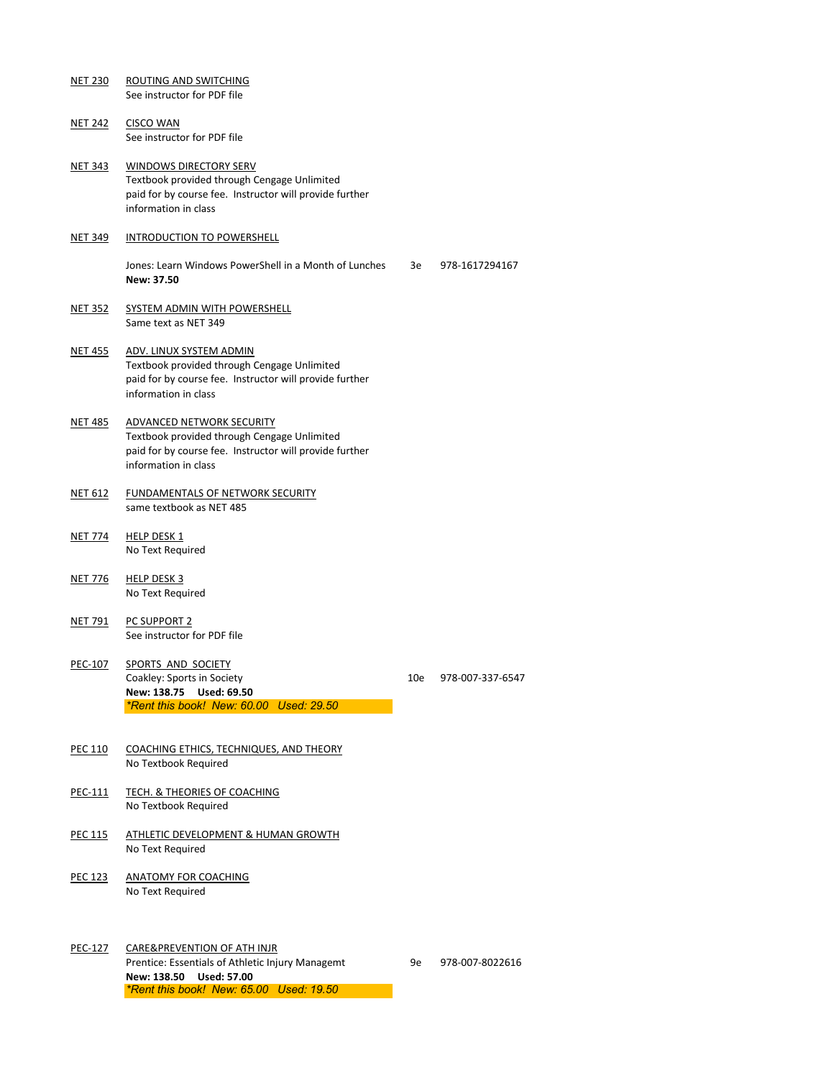NET 230 ROUTING AND SWITCHING See instructor for PDF file

NET 242 CISCO WAN See instructor for PDF file

- NET 343 WINDOWS DIRECTORY SERV Textbook provided through Cengage Unlimited paid for by course fee. Instructor will provide further information in class
- NET 349 INTRODUCTION TO POWERSHELL

Jones: Learn Windows PowerShell in a Month of Lunches 3e 978-1617294167 **New: 37.50**

- NET 352 SYSTEM ADMIN WITH POWERSHELL Same text as NET 349
- NET 455 ADV. LINUX SYSTEM ADMIN Textbook provided through Cengage Unlimited paid for by course fee. Instructor will provide further information in class
- NET 485 ADVANCED NETWORK SECURITY Textbook provided through Cengage Unlimited paid for by course fee. Instructor will provide further information in class
- NET 612 FUNDAMENTALS OF NETWORK SECURITY same textbook as NET 485
- NET 774 HELP DESK 1 No Text Required
- NET 776 HELP DESK 3 No Text Required
- NET 791 PC SUPPORT 2 See instructor for PDF file
- PEC-107 SPORTS AND SOCIETY Coakley: Sports in Society 10e 978-007-337-6547 **New: 138.75 Used: 69.50** *\*Rent this book! New: 60.00 Used: 29.50*

- PEC 110 COACHING ETHICS, TECHNIQUES, AND THEORY No Textbook Required
- PEC-111 TECH. & THEORIES OF COACHING No Textbook Required
- PEC 115 ATHLETIC DEVELOPMENT & HUMAN GROWTH No Text Required
- PEC 123 ANATOMY FOR COACHING No Text Required
- PEC-127 CARE&PREVENTION OF ATH INJR

Prentice: Essentials of Athletic Injury Managemt 9e 978-007-8022616

**New: 138.50 Used: 57.00**

*\*Rent this book! New: 65.00 Used: 19.50*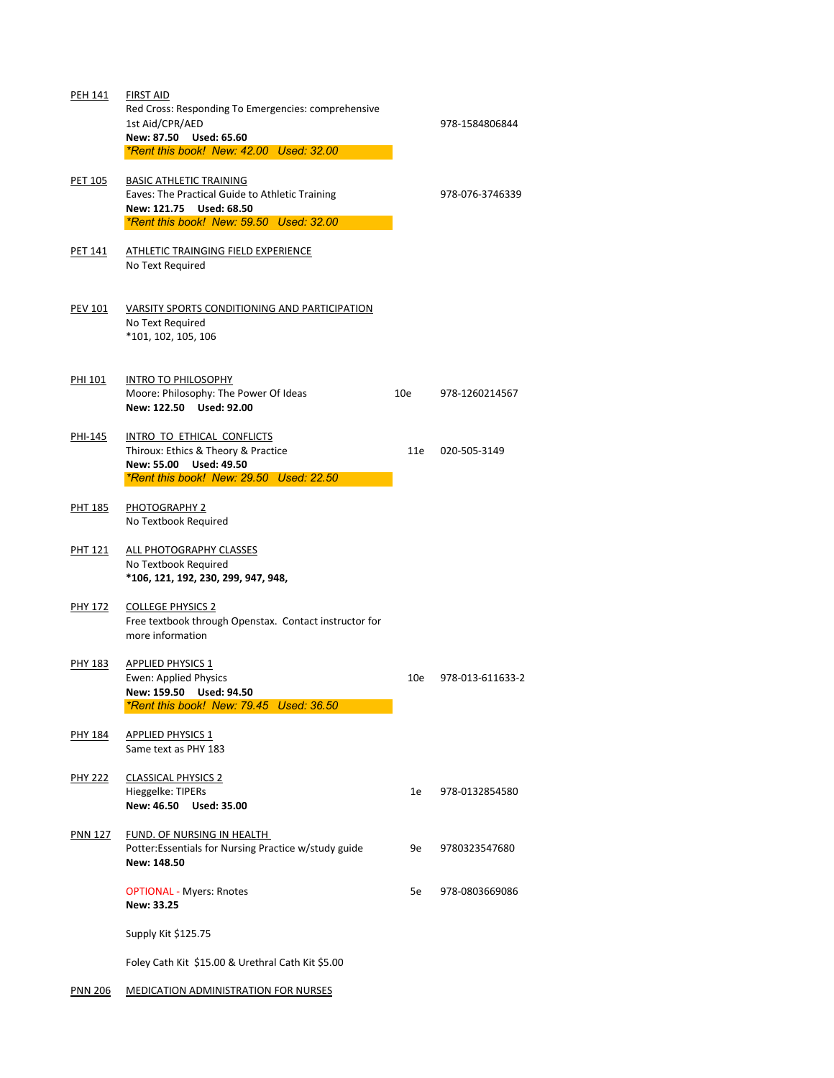| <b>PEH 141</b> | <b>FIRST AID</b><br>Red Cross: Responding To Emergencies: comprehensive<br>1st Aid/CPR/AED<br>New: 87.50 Used: 65.60<br>*Rent this book! New: 42.00 Used: 32.00 |                 | 978-1584806844   |
|----------------|-----------------------------------------------------------------------------------------------------------------------------------------------------------------|-----------------|------------------|
| <b>PET 105</b> | <b>BASIC ATHLETIC TRAINING</b><br>Eaves: The Practical Guide to Athletic Training<br>New: 121.75 Used: 68.50<br>*Rent this book! New: 59.50 Used: 32.00         |                 | 978-076-3746339  |
| <b>PET 141</b> | ATHLETIC TRAINGING FIELD EXPERIENCE<br>No Text Required                                                                                                         |                 |                  |
| <b>PEV 101</b> | VARSITY SPORTS CONDITIONING AND PARTICIPATION<br>No Text Required<br>*101, 102, 105, 106                                                                        |                 |                  |
| <b>PHI 101</b> | <b>INTRO TO PHILOSOPHY</b><br>Moore: Philosophy: The Power Of Ideas<br>New: 122.50 Used: 92.00                                                                  | 10 <sub>e</sub> | 978-1260214567   |
| PHI-145        | INTRO TO ETHICAL CONFLICTS<br>Thiroux: Ethics & Theory & Practice<br><b>New: 55.00</b><br><b>Used: 49.50</b><br>*Rent this book! New: 29.50 Used: 22.50         | 11e             | 020-505-3149     |
| <b>PHT 185</b> | <b>PHOTOGRAPHY 2</b><br>No Textbook Required                                                                                                                    |                 |                  |
| <b>PHT 121</b> | ALL PHOTOGRAPHY CLASSES<br>No Textbook Required<br>*106, 121, 192, 230, 299, 947, 948,                                                                          |                 |                  |
| <b>PHY 172</b> | <b>COLLEGE PHYSICS 2</b><br>Free textbook through Openstax. Contact instructor for<br>more information                                                          |                 |                  |
| <b>PHY 183</b> | <b>APPLIED PHYSICS 1</b><br><b>Ewen: Applied Physics</b><br>New: 159.50 Used: 94.50<br>*Rent this book! New: 79.45 Used: 36.50                                  | 10e             | 978-013-611633-2 |

PHY 184 APPLIED PHYSICS 1 Same text as PHY 183

PHY 222 CLASSICAL PHYSICS 2 Hieggelke: TIPERs 1e 978-0132854580 **New: 46.50 Used: 35.00**

# PNN 127 FUND. OF NURSING IN HEALTH

Potter:Essentials for Nursing Practice w/study guide 9e 9780323547680 **New: 148.50**

OPTIONAL - Myers: Rnotes 5e 978-0803669086 **New: 33.25**

Supply Kit \$125.75

Foley Cath Kit \$15.00 & Urethral Cath Kit \$5.00

PNN 206 MEDICATION ADMINISTRATION FOR NURSES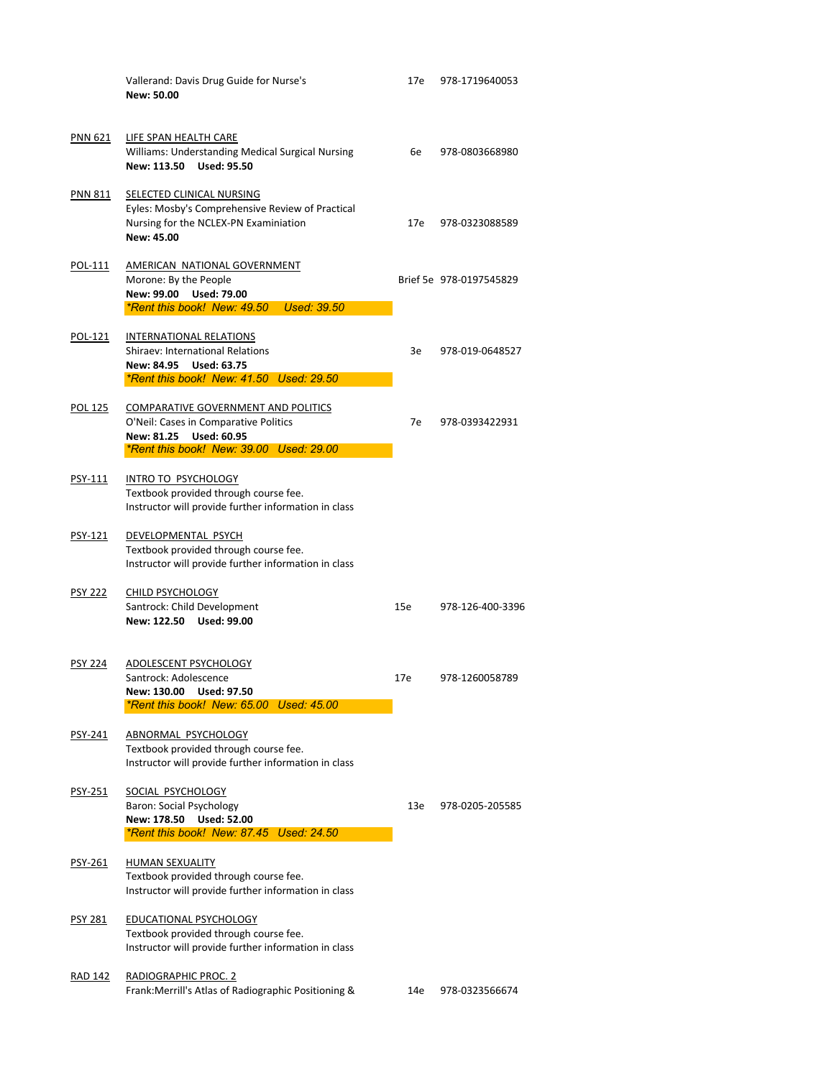|                | Vallerand: Davis Drug Guide for Nurse's<br><b>New: 50.00</b>                                                                                                              | 17e | 978-1719640053          |
|----------------|---------------------------------------------------------------------------------------------------------------------------------------------------------------------------|-----|-------------------------|
| <b>PNN 621</b> | LIFE SPAN HEALTH CARE<br><b>Williams: Understanding Medical Surgical Nursing</b><br>New: 113.50 Used: 95.50                                                               | 6e  | 978-0803668980          |
| <b>PNN 811</b> | SELECTED CLINICAL NURSING<br>Eyles: Mosby's Comprehensive Review of Practical<br>Nursing for the NCLEX-PN Examiniation<br>New: 45.00                                      | 17e | 978-0323088589          |
| POL-111        | AMERICAN NATIONAL GOVERNMENT<br>Morone: By the People<br>New: 99.00 Used: 79.00<br>*Rent this book! New: 49.50 Used: 39.50                                                |     | Brief 5e 978-0197545829 |
| POL-121        | <b>INTERNATIONAL RELATIONS</b><br><b>Shiraev: International Relations</b><br>New: 84.95 Used: 63.75<br><i><b>*Rent this book! New: 41.50 Used: 29.50</b></i>              | 3e  | 978-019-0648527         |
| <b>POL 125</b> | <b>COMPARATIVE GOVERNMENT AND POLITICS</b><br>O'Neil: Cases in Comparative Politics<br><b>New: 81.25</b><br><b>Used: 60.95</b><br>*Rent this book! New: 39.00 Used: 29.00 | 7e  | 978-0393422931          |
| PSY-111        | <b>INTRO TO PSYCHOLOGY</b><br>Textbook provided through course fee.<br>Instructor will provide further information in class                                               |     |                         |
| <b>PSY-121</b> | DEVELOPMENTAL PSYCH<br>Textbook provided through course fee.<br>Instructor will provide further information in class                                                      |     |                         |
| <b>PSY 222</b> | <b>CHILD PSYCHOLOGY</b><br>Santrock: Child Development<br>New: 122.50<br><b>Used: 99.00</b>                                                                               | 15e | 978-126-400-3396        |
| <b>PSY 224</b> | ADOLESCENT PSYCHOLOGY<br>Santrock: Adolescence<br>New: 130.00 Used: 97.50<br>*Rent this book! New: 65.00 Used: 45.00                                                      | 17e | 978-1260058789          |

# PSY-241 ABNORMAL PSYCHOLOGY

Textbook provided through course fee. Instructor will provide further information in class

PSY-251 SOCIAL PSYCHOLOGY

Baron: Social Psychology 13e 978-0205-205585 **New: 178.50 Used: 52.00**

*\*Rent this book! New: 87.45 Used: 24.50*

#### PSY-261 HUMAN SEXUALITY

Textbook provided through course fee. Instructor will provide further information in class

# PSY 281 EDUCATIONAL PSYCHOLOGY

Textbook provided through course fee. Instructor will provide further information in class

# RAD 142 RADIOGRAPHIC PROC. 2

Frank:Merrill's Atlas of Radiographic Positioning & 14e 978-0323566674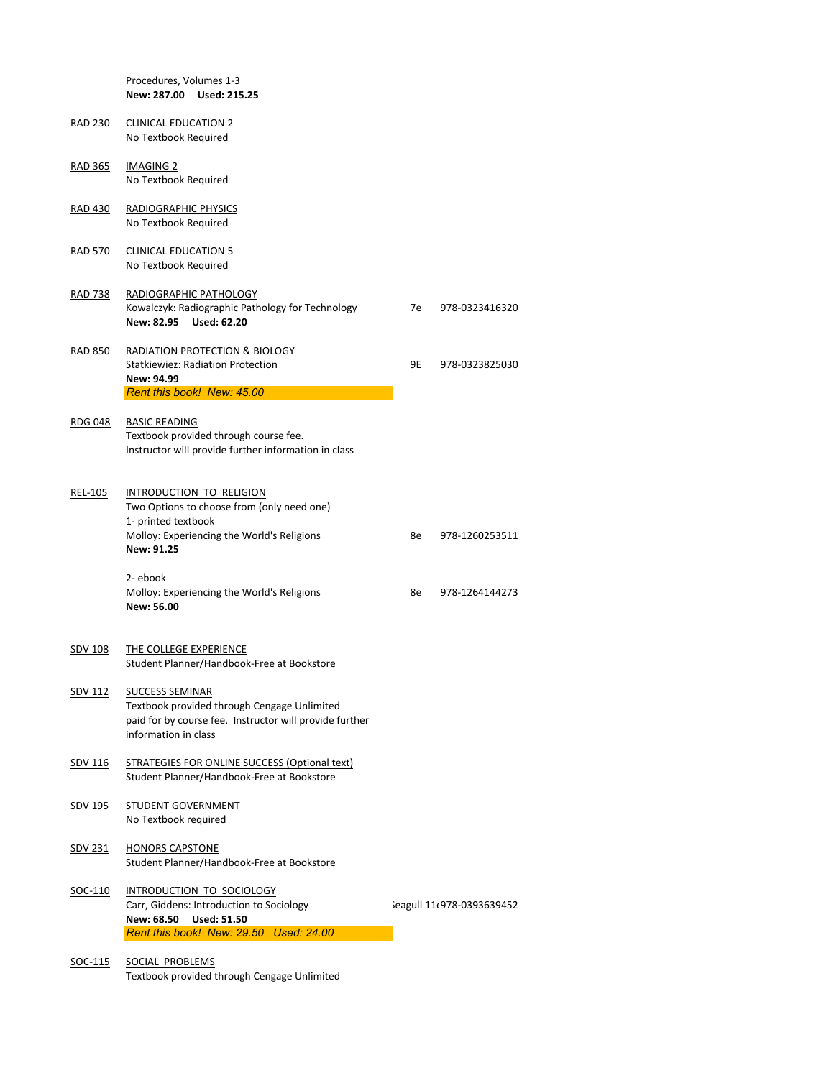|                | Procedures, Volumes 1-3<br>New: 287.00 Used: 215.25                                                                   |           |                |
|----------------|-----------------------------------------------------------------------------------------------------------------------|-----------|----------------|
| <u>RAD 230</u> | <b>CLINICAL EDUCATION 2</b><br>No Textbook Required                                                                   |           |                |
| <b>RAD 365</b> | <b>IMAGING 2</b><br>No Textbook Required                                                                              |           |                |
| <b>RAD 430</b> | RADIOGRAPHIC PHYSICS<br>No Textbook Required                                                                          |           |                |
| <b>RAD 570</b> | <b>CLINICAL EDUCATION 5</b><br>No Textbook Required                                                                   |           |                |
| <b>RAD 738</b> | RADIOGRAPHIC PATHOLOGY<br>Kowalczyk: Radiographic Pathology for Technology<br>New: 82.95 Used: 62.20                  | 7e        | 978-0323416320 |
| <b>RAD 850</b> | RADIATION PROTECTION & BIOLOGY<br><b>Statkiewiez: Radiation Protection</b><br>New: 94.99                              | <b>9E</b> | 978-0323825030 |
|                |                                                                                                                       |           |                |
|                | Rent this book! New: 45.00                                                                                            |           |                |
| <b>RDG 048</b> | <b>BASIC READING</b><br>Textbook provided through course fee.<br>Instructor will provide further information in class |           |                |
| REL-105        | INTRODUCTION TO RELIGION<br>Two Options to choose from (only need one)<br>1- printed textbook                         |           |                |
|                | Molloy: Experiencing the World's Religions<br><b>New: 91.25</b>                                                       | 8e        | 978-1260253511 |
|                | 2-ebook<br>Molloy: Experiencing the World's Religions<br><b>New: 56.00</b>                                            | 8e        | 978-1264144273 |
| <b>SDV 108</b> | THE COLLEGE EXPERIENCE<br>Student Planner/Handbook-Free at Bookstore                                                  |           |                |

paid for by course fee. Instructor will provide further information in class

- SDV 116 STRATEGIES FOR ONLINE SUCCESS (Optional text) Student Planner/Handbook-Free at Bookstore
- SDV 195 STUDENT GOVERNMENT No Textbook required
- SDV 231 HONORS CAPSTONE Student Planner/Handbook-Free at Bookstore
- SOC-110 INTRODUCTION TO SOCIOLOGY Carr, Giddens: Introduction to Sociology  $\qquad \qquad$  Seagull 11e978-0393639452 **New: 68.50 Used: 51.50** *Rent this book! New: 29.50 Used: 24.00*
- SOC-115 SOCIAL PROBLEMS

Textbook provided through Cengage Unlimited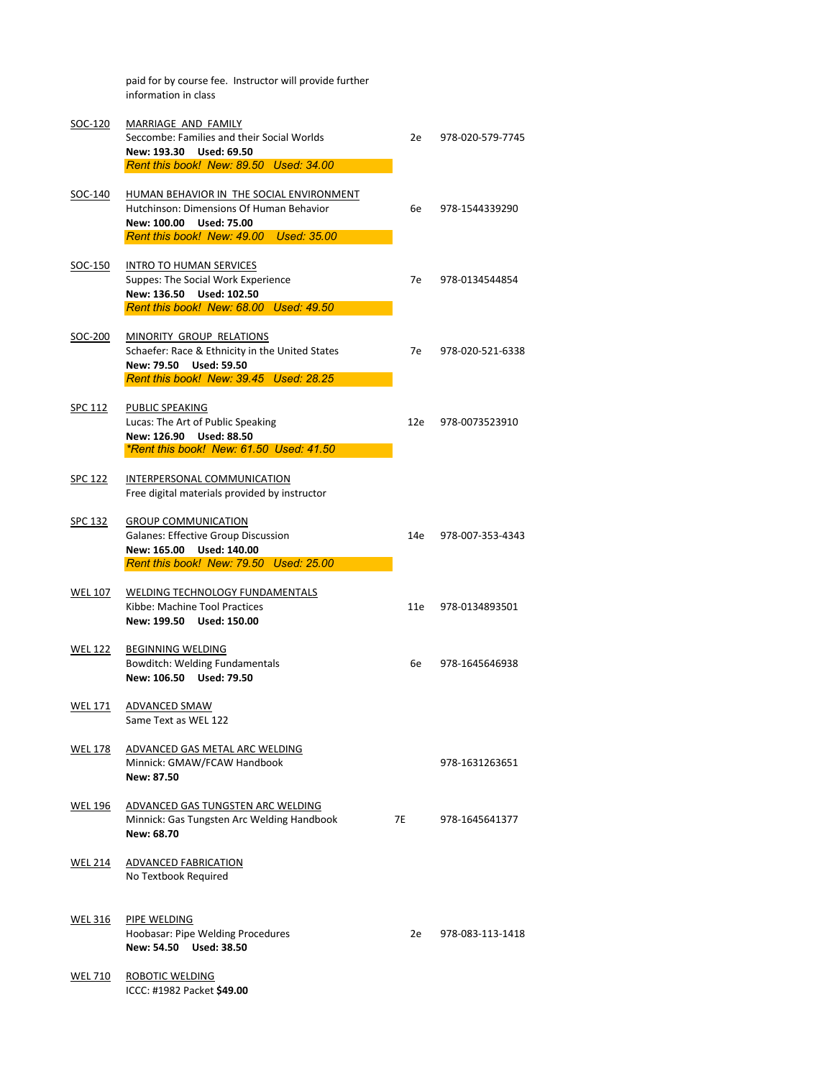|                | paid for by course fee. Instructor will provide further<br>information in class                                                                           |      |                  |
|----------------|-----------------------------------------------------------------------------------------------------------------------------------------------------------|------|------------------|
| SOC-120        | MARRIAGE AND FAMILY<br>Seccombe: Families and their Social Worlds<br><b>Used: 69.50</b><br>New: 193.30<br>Rent this book! New: 89.50 Used: 34.00          | 2e   | 978-020-579-7745 |
| SOC-140        | HUMAN BEHAVIOR IN THE SOCIAL ENVIRONMENT<br>Hutchinson: Dimensions Of Human Behavior<br>New: 100.00 Used: 75.00<br>Rent this book! New: 49.00 Used: 35.00 | 6e   | 978-1544339290   |
| SOC-150        | <b>INTRO TO HUMAN SERVICES</b><br>Suppes: The Social Work Experience<br>New: 136.50 Used: 102.50<br>Rent this book! New: 68.00 Used: 49.50                | 7e - | 978-0134544854   |
| SOC-200        | MINORITY GROUP RELATIONS<br>Schaefer: Race & Ethnicity in the United States<br>New: 79.50<br><b>Used: 59.50</b><br>Rent this book! New: 39.45 Used: 28.25 | 7e - | 978-020-521-6338 |
| <b>SPC 112</b> | <b>PUBLIC SPEAKING</b><br>Lucas: The Art of Public Speaking<br>New: 126.90<br><b>Used: 88.50</b><br>*Rent this book! New: 61.50 Used: 41.50               | 12e  | 978-0073523910   |
| <b>SPC 122</b> | INTERPERSONAL COMMUNICATION<br>Free digital materials provided by instructor                                                                              |      |                  |
| <b>SPC 132</b> | <b>GROUP COMMUNICATION</b><br><b>Galanes: Effective Group Discussion</b><br>New: 165.00<br>Used: 140.00<br>Rent this book! New: 79.50 Used: 25.00         | 14e  | 978-007-353-4343 |
| <b>WEL 107</b> | <b>WELDING TECHNOLOGY FUNDAMENTALS</b><br>Kibbe: Machine Tool Practices<br>New: 199.50 Used: 150.00                                                       | 11e  | 978-0134893501   |
| <b>WEL 122</b> | <b>BEGINNING WELDING</b><br><b>Bowditch: Welding Fundamentals</b><br>New: 106.50<br><b>Used: 79.50</b>                                                    | 6e   | 978-1645646938   |
| <b>WEL 171</b> | <b>ADVANCED SMAW</b>                                                                                                                                      |      |                  |

Minnick: GMAW/FCAW Handbook 978-1631263651 **New: 87.50**

- WEL 196 ADVANCED GAS TUNGSTEN ARC WELDING Minnick: Gas Tungsten Arc Welding Handbook 7E 978-1645641377 **New: 68.70**
- WEL 214 ADVANCED FABRICATION No Textbook Required
- WEL 316 PIPE WELDING

Hoobasar: Pipe Welding Procedures 2e 978-083-113-1418 **New: 54.50 Used: 38.50**

WEL 710 ROBOTIC WELDING ICCC: #1982 Packet **\$49.00**

Same Text as WEL 122

#### WEL 178 ADVANCED GAS METAL ARC WELDING